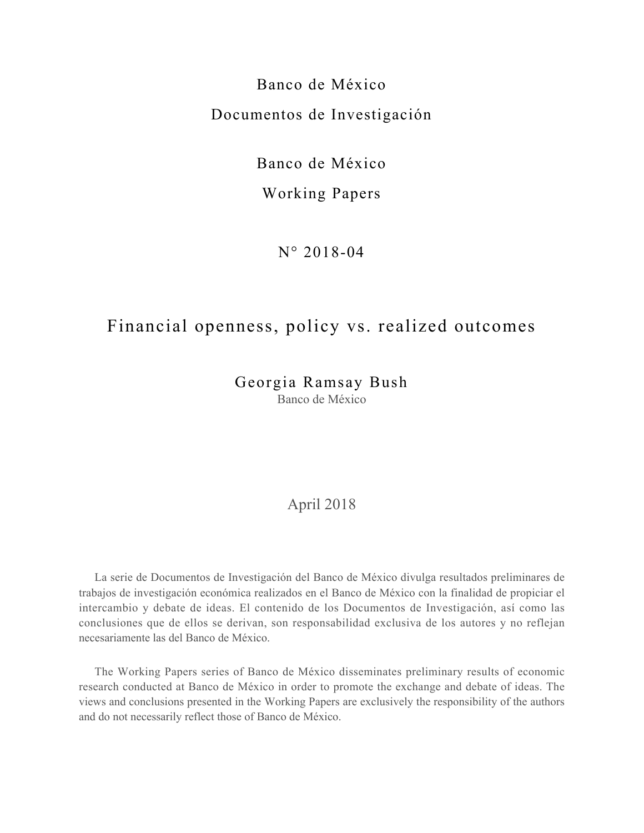# Banco de México Documentos de Investigación

Banco de México

### Working Papers

N° 2018-04

# Financial openness, policy vs. realized outcomes

Georgia Ramsay Bush Banco de México

### April 2018

La serie de Documentos de Investigación del Banco de México divulga resultados preliminares de trabajos de investigación económica realizados en el Banco de México con la finalidad de propiciar el intercambio y debate de ideas. El contenido de los Documentos de Investigación, así como las conclusiones que de ellos se derivan, son responsabilidad exclusiva de los autores y no reflejan necesariamente las del Banco de México.

The Working Papers series of Banco de México disseminates preliminary results of economic research conducted at Banco de México in order to promote the exchange and debate of ideas. The views and conclusions presented in the Working Papers are exclusively the responsibility of the authors and do not necessarily reflect those of Banco de México.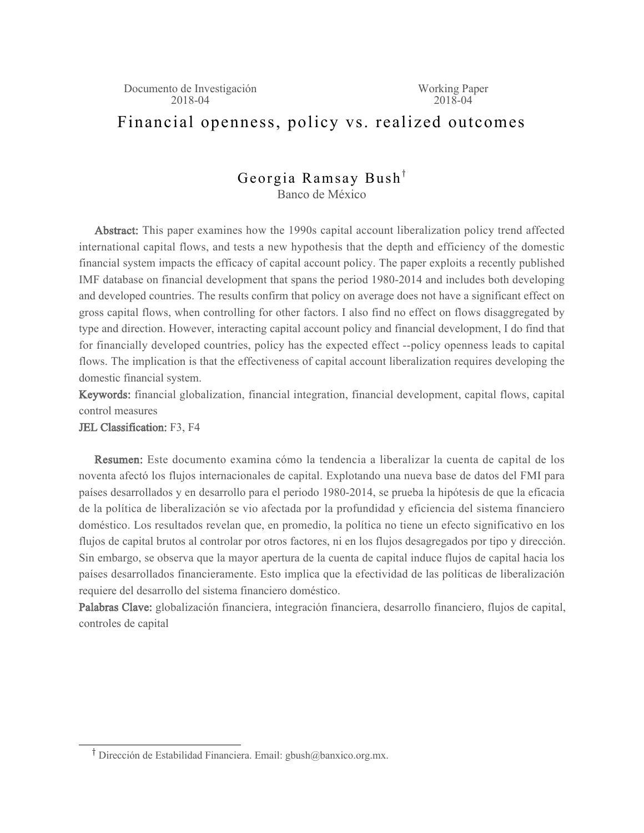# Financial openness, policy vs. realized outcomes

### Georgia Ramsay Bush<sup>†</sup> Banco de México

Abstract: This paper examines how the 1990s capital account liberalization policy trend affected international capital flows, and tests a new hypothesis that the depth and efficiency of the domestic financial system impacts the efficacy of capital account policy. The paper exploits a recently published IMF database on financial development that spans the period 1980-2014 and includes both developing and developed countries. The results confirm that policy on average does not have a significant effect on gross capital flows, when controlling for other factors. I also find no effect on flows disaggregated by type and direction. However, interacting capital account policy and financial development, I do find that for financially developed countries, policy has the expected effect --policy openness leads to capital flows. The implication is that the effectiveness of capital account liberalization requires developing the domestic financial system.

Keywords: financial globalization, financial integration, financial development, capital flows, capital control measures

JEL Classification: F3, F4

Resumen: Este documento examina cómo la tendencia a liberalizar la cuenta de capital de los noventa afectó los flujos internacionales de capital. Explotando una nueva base de datos del FMI para países desarrollados y en desarrollo para el periodo 1980-2014, se prueba la hipótesis de que la eficacia de la política de liberalización se vio afectada por la profundidad y eficiencia del sistema financiero doméstico. Los resultados revelan que, en promedio, la política no tiene un efecto significativo en los flujos de capital brutos al controlar por otros factores, ni en los flujos desagregados por tipo y dirección. Sin embargo, se observa que la mayor apertura de la cuenta de capital induce flujos de capital hacia los países desarrollados financieramente. Esto implica que la efectividad de las políticas de liberalización requiere del desarrollo del sistema financiero doméstico.

Palabras Clave: globalización financiera, integración financiera, desarrollo financiero, flujos de capital, controles de capital

<sup>&</sup>lt;sup>T</sup> Dirección de Estabilidad Financiera. Email: gbush@banxico.org.mx.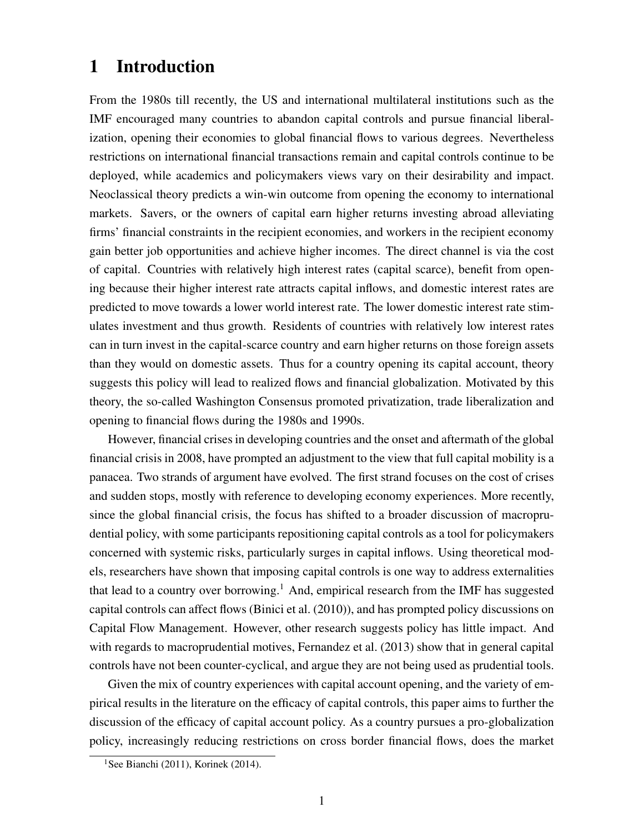## 1 Introduction

From the 1980s till recently, the US and international multilateral institutions such as the IMF encouraged many countries to abandon capital controls and pursue financial liberalization, opening their economies to global financial flows to various degrees. Nevertheless restrictions on international financial transactions remain and capital controls continue to be deployed, while academics and policymakers views vary on their desirability and impact. Neoclassical theory predicts a win-win outcome from opening the economy to international markets. Savers, or the owners of capital earn higher returns investing abroad alleviating firms' financial constraints in the recipient economies, and workers in the recipient economy gain better job opportunities and achieve higher incomes. The direct channel is via the cost of capital. Countries with relatively high interest rates (capital scarce), benefit from opening because their higher interest rate attracts capital inflows, and domestic interest rates are predicted to move towards a lower world interest rate. The lower domestic interest rate stimulates investment and thus growth. Residents of countries with relatively low interest rates can in turn invest in the capital-scarce country and earn higher returns on those foreign assets than they would on domestic assets. Thus for a country opening its capital account, theory suggests this policy will lead to realized flows and financial globalization. Motivated by this theory, the so-called Washington Consensus promoted privatization, trade liberalization and opening to financial flows during the 1980s and 1990s.

However, financial crises in developing countries and the onset and aftermath of the global financial crisis in 2008, have prompted an adjustment to the view that full capital mobility is a panacea. Two strands of argument have evolved. The first strand focuses on the cost of crises and sudden stops, mostly with reference to developing economy experiences. More recently, since the global financial crisis, the focus has shifted to a broader discussion of macroprudential policy, with some participants repositioning capital controls as a tool for policymakers concerned with systemic risks, particularly surges in capital inflows. Using theoretical models, researchers have shown that imposing capital controls is one way to address externalities that lead to a country over borrowing.<sup>1</sup> And, empirical research from the IMF has suggested capital controls can affect flows (Binici et al. (2010)), and has prompted policy discussions on Capital Flow Management. However, other research suggests policy has little impact. And with regards to macroprudential motives, Fernandez et al. (2013) show that in general capital controls have not been counter-cyclical, and argue they are not being used as prudential tools.

Given the mix of country experiences with capital account opening, and the variety of empirical results in the literature on the efficacy of capital controls, this paper aims to further the discussion of the efficacy of capital account policy. As a country pursues a pro-globalization policy, increasingly reducing restrictions on cross border financial flows, does the market

<sup>&</sup>lt;sup>1</sup>See Bianchi (2011), Korinek (2014).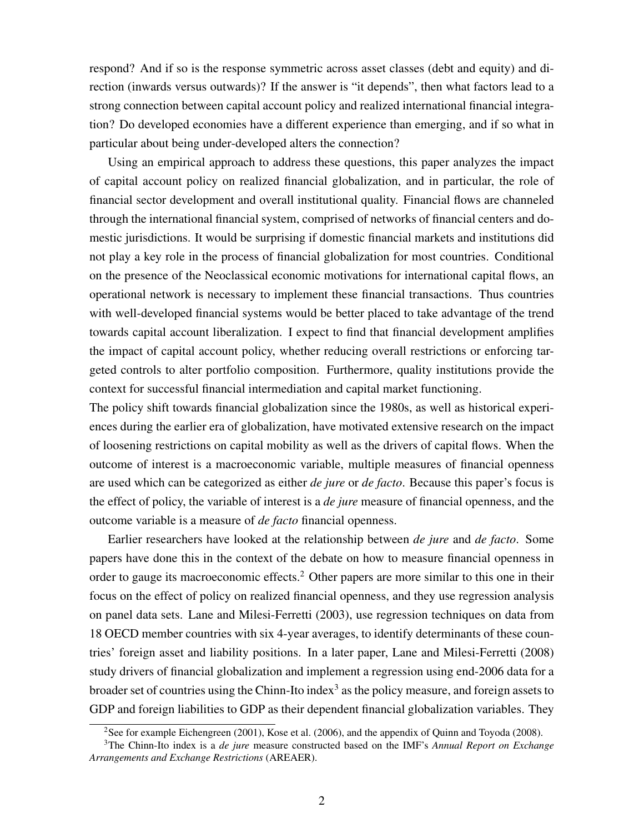respond? And if so is the response symmetric across asset classes (debt and equity) and direction (inwards versus outwards)? If the answer is "it depends", then what factors lead to a strong connection between capital account policy and realized international financial integration? Do developed economies have a different experience than emerging, and if so what in particular about being under-developed alters the connection?

Using an empirical approach to address these questions, this paper analyzes the impact of capital account policy on realized financial globalization, and in particular, the role of financial sector development and overall institutional quality. Financial flows are channeled through the international financial system, comprised of networks of financial centers and domestic jurisdictions. It would be surprising if domestic financial markets and institutions did not play a key role in the process of financial globalization for most countries. Conditional on the presence of the Neoclassical economic motivations for international capital flows, an operational network is necessary to implement these financial transactions. Thus countries with well-developed financial systems would be better placed to take advantage of the trend towards capital account liberalization. I expect to find that financial development amplifies the impact of capital account policy, whether reducing overall restrictions or enforcing targeted controls to alter portfolio composition. Furthermore, quality institutions provide the context for successful financial intermediation and capital market functioning.

The policy shift towards financial globalization since the 1980s, as well as historical experiences during the earlier era of globalization, have motivated extensive research on the impact of loosening restrictions on capital mobility as well as the drivers of capital flows. When the outcome of interest is a macroeconomic variable, multiple measures of financial openness are used which can be categorized as either *de jure* or *de facto*. Because this paper's focus is the effect of policy, the variable of interest is a *de jure* measure of financial openness, and the outcome variable is a measure of *de facto* financial openness.

Earlier researchers have looked at the relationship between *de jure* and *de facto*. Some papers have done this in the context of the debate on how to measure financial openness in order to gauge its macroeconomic effects.<sup>2</sup> Other papers are more similar to this one in their focus on the effect of policy on realized financial openness, and they use regression analysis on panel data sets. Lane and Milesi-Ferretti (2003), use regression techniques on data from 18 OECD member countries with six 4-year averages, to identify determinants of these countries' foreign asset and liability positions. In a later paper, Lane and Milesi-Ferretti (2008) study drivers of financial globalization and implement a regression using end-2006 data for a broader set of countries using the Chinn-Ito index<sup>3</sup> as the policy measure, and foreign assets to GDP and foreign liabilities to GDP as their dependent financial globalization variables. They

<sup>2</sup>See for example Eichengreen (2001), Kose et al. (2006), and the appendix of Quinn and Toyoda (2008).

<sup>3</sup>The Chinn-Ito index is a *de jure* measure constructed based on the IMF's *Annual Report on Exchange Arrangements and Exchange Restrictions* (AREAER).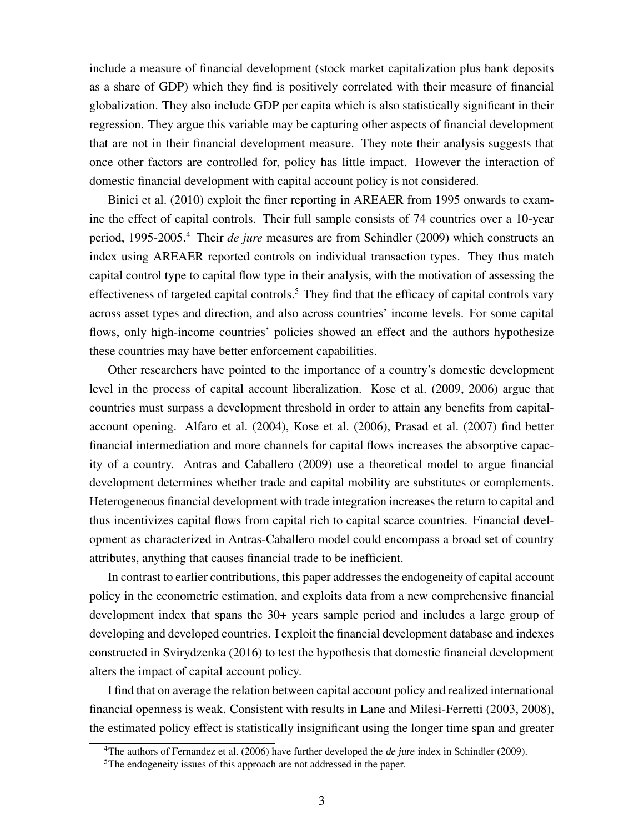include a measure of financial development (stock market capitalization plus bank deposits as a share of GDP) which they find is positively correlated with their measure of financial globalization. They also include GDP per capita which is also statistically significant in their regression. They argue this variable may be capturing other aspects of financial development that are not in their financial development measure. They note their analysis suggests that once other factors are controlled for, policy has little impact. However the interaction of domestic financial development with capital account policy is not considered.

Binici et al. (2010) exploit the finer reporting in AREAER from 1995 onwards to examine the effect of capital controls. Their full sample consists of 74 countries over a 10-year period, 1995-2005.<sup>4</sup> Their *de jure* measures are from Schindler (2009) which constructs an index using AREAER reported controls on individual transaction types. They thus match capital control type to capital flow type in their analysis, with the motivation of assessing the effectiveness of targeted capital controls.<sup>5</sup> They find that the efficacy of capital controls vary across asset types and direction, and also across countries' income levels. For some capital flows, only high-income countries' policies showed an effect and the authors hypothesize these countries may have better enforcement capabilities.

Other researchers have pointed to the importance of a country's domestic development level in the process of capital account liberalization. Kose et al. (2009, 2006) argue that countries must surpass a development threshold in order to attain any benefits from capitalaccount opening. Alfaro et al. (2004), Kose et al. (2006), Prasad et al. (2007) find better financial intermediation and more channels for capital flows increases the absorptive capacity of a country. Antras and Caballero (2009) use a theoretical model to argue financial development determines whether trade and capital mobility are substitutes or complements. Heterogeneous financial development with trade integration increases the return to capital and thus incentivizes capital flows from capital rich to capital scarce countries. Financial development as characterized in Antras-Caballero model could encompass a broad set of country attributes, anything that causes financial trade to be inefficient.

In contrast to earlier contributions, this paper addresses the endogeneity of capital account policy in the econometric estimation, and exploits data from a new comprehensive financial development index that spans the 30+ years sample period and includes a large group of developing and developed countries. I exploit the financial development database and indexes constructed in Svirydzenka (2016) to test the hypothesis that domestic financial development alters the impact of capital account policy.

I find that on average the relation between capital account policy and realized international financial openness is weak. Consistent with results in Lane and Milesi-Ferretti (2003, 2008), the estimated policy effect is statistically insignificant using the longer time span and greater

<sup>&</sup>lt;sup>4</sup>The authors of Fernandez et al. (2006) have further developed the *de jure* index in Schindler (2009).

<sup>5</sup>The endogeneity issues of this approach are not addressed in the paper.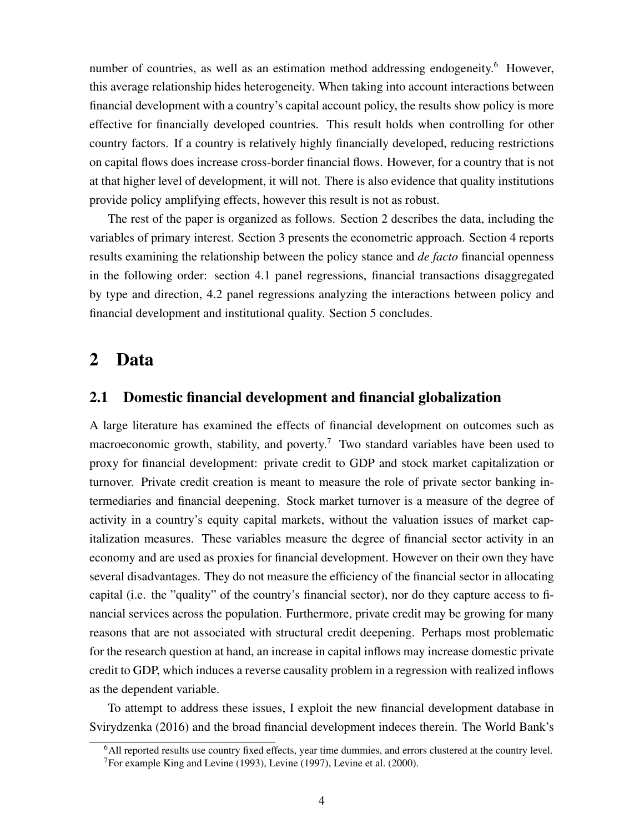number of countries, as well as an estimation method addressing endogeneity.<sup>6</sup> However, this average relationship hides heterogeneity. When taking into account interactions between financial development with a country's capital account policy, the results show policy is more effective for financially developed countries. This result holds when controlling for other country factors. If a country is relatively highly financially developed, reducing restrictions on capital flows does increase cross-border financial flows. However, for a country that is not at that higher level of development, it will not. There is also evidence that quality institutions provide policy amplifying effects, however this result is not as robust.

The rest of the paper is organized as follows. Section 2 describes the data, including the variables of primary interest. Section 3 presents the econometric approach. Section 4 reports results examining the relationship between the policy stance and *de facto* financial openness in the following order: section 4.1 panel regressions, financial transactions disaggregated by type and direction, 4.2 panel regressions analyzing the interactions between policy and financial development and institutional quality. Section 5 concludes.

### 2 Data

### 2.1 Domestic financial development and financial globalization

A large literature has examined the effects of financial development on outcomes such as macroeconomic growth, stability, and poverty.<sup>7</sup> Two standard variables have been used to proxy for financial development: private credit to GDP and stock market capitalization or turnover. Private credit creation is meant to measure the role of private sector banking intermediaries and financial deepening. Stock market turnover is a measure of the degree of activity in a country's equity capital markets, without the valuation issues of market capitalization measures. These variables measure the degree of financial sector activity in an economy and are used as proxies for financial development. However on their own they have several disadvantages. They do not measure the efficiency of the financial sector in allocating capital (i.e. the "quality" of the country's financial sector), nor do they capture access to financial services across the population. Furthermore, private credit may be growing for many reasons that are not associated with structural credit deepening. Perhaps most problematic for the research question at hand, an increase in capital inflows may increase domestic private credit to GDP, which induces a reverse causality problem in a regression with realized inflows as the dependent variable.

To attempt to address these issues, I exploit the new financial development database in Svirydzenka (2016) and the broad financial development indeces therein. The World Bank's

<sup>6</sup>All reported results use country fixed effects, year time dummies, and errors clustered at the country level. <sup>7</sup>For example King and Levine (1993), Levine (1997), Levine et al. (2000).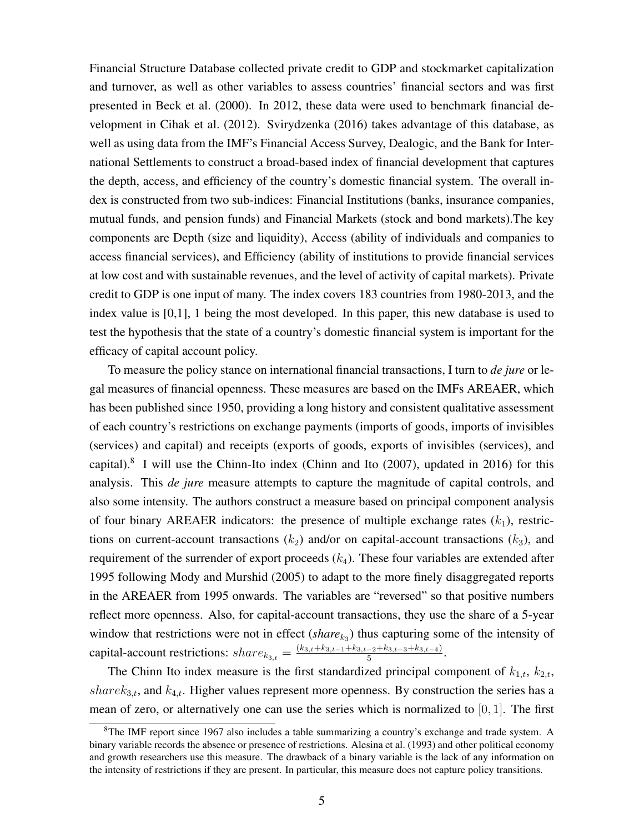Financial Structure Database collected private credit to GDP and stockmarket capitalization and turnover, as well as other variables to assess countries' financial sectors and was first presented in Beck et al. (2000). In 2012, these data were used to benchmark financial development in Cihak et al. (2012). Svirydzenka (2016) takes advantage of this database, as well as using data from the IMF's Financial Access Survey, Dealogic, and the Bank for International Settlements to construct a broad-based index of financial development that captures the depth, access, and efficiency of the country's domestic financial system. The overall index is constructed from two sub-indices: Financial Institutions (banks, insurance companies, mutual funds, and pension funds) and Financial Markets (stock and bond markets).The key components are Depth (size and liquidity), Access (ability of individuals and companies to access financial services), and Efficiency (ability of institutions to provide financial services at low cost and with sustainable revenues, and the level of activity of capital markets). Private credit to GDP is one input of many. The index covers 183 countries from 1980-2013, and the index value is [0,1], 1 being the most developed. In this paper, this new database is used to test the hypothesis that the state of a country's domestic financial system is important for the efficacy of capital account policy.

To measure the policy stance on international financial transactions, I turn to *de jure* or legal measures of financial openness. These measures are based on the IMFs AREAER, which has been published since 1950, providing a long history and consistent qualitative assessment of each country's restrictions on exchange payments (imports of goods, imports of invisibles (services) and capital) and receipts (exports of goods, exports of invisibles (services), and capital). $8$  I will use the Chinn-Ito index (Chinn and Ito (2007), updated in 2016) for this analysis. This *de jure* measure attempts to capture the magnitude of capital controls, and also some intensity. The authors construct a measure based on principal component analysis of four binary AREAER indicators: the presence of multiple exchange rates  $(k_1)$ , restrictions on current-account transactions  $(k_2)$  and/or on capital-account transactions  $(k_3)$ , and requirement of the surrender of export proceeds  $(k_4)$ . These four variables are extended after 1995 following Mody and Murshid (2005) to adapt to the more finely disaggregated reports in the AREAER from 1995 onwards. The variables are "reversed" so that positive numbers reflect more openness. Also, for capital-account transactions, they use the share of a 5-year window that restrictions were not in effect  $(share_{k_3})$  thus capturing some of the intensity of capital-account restrictions:  $share_{k_{3,t}} = \frac{(k_{3,t}+k_{3,t-1}+k_{3,t-2}+k_{3,t-3}+k_{3,t-4})}{5}$  $\frac{-2 + \kappa_{3,t-3} + \kappa_{3,t-4}}{5}$ .

The Chinn Ito index measure is the first standardized principal component of  $k_{1,t}$ ,  $k_{2,t}$ , share $k_{3,t}$ , and  $k_{4,t}$ . Higher values represent more openness. By construction the series has a mean of zero, or alternatively one can use the series which is normalized to  $[0, 1]$ . The first

<sup>8</sup>The IMF report since 1967 also includes a table summarizing a country's exchange and trade system. A binary variable records the absence or presence of restrictions. Alesina et al. (1993) and other political economy and growth researchers use this measure. The drawback of a binary variable is the lack of any information on the intensity of restrictions if they are present. In particular, this measure does not capture policy transitions.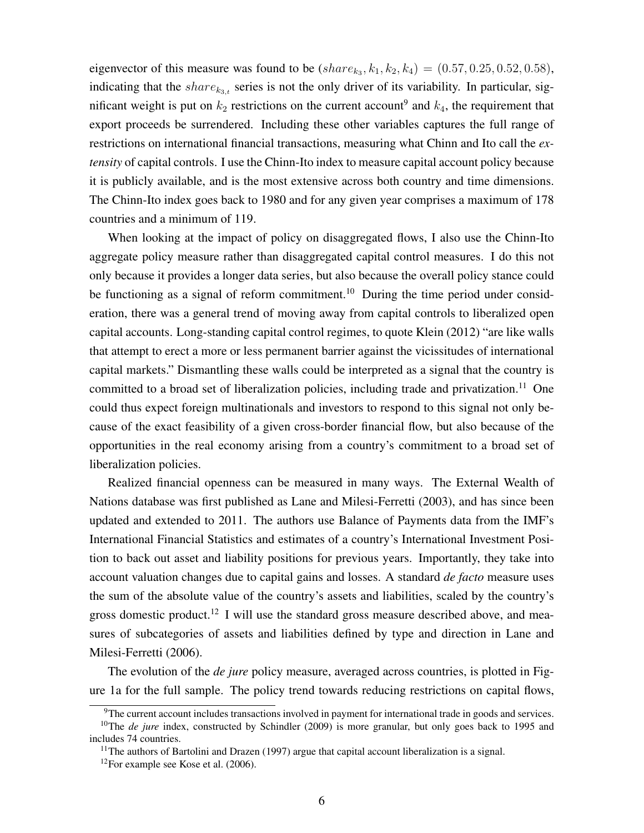eigenvector of this measure was found to be  $(share_{k_3}, k_1, k_2, k_4) = (0.57, 0.25, 0.52, 0.58)$ , indicating that the  $share_{k_{3,t}}$  series is not the only driver of its variability. In particular, significant weight is put on  $k_2$  restrictions on the current account<sup>9</sup> and  $k_4$ , the requirement that export proceeds be surrendered. Including these other variables captures the full range of restrictions on international financial transactions, measuring what Chinn and Ito call the *extensity* of capital controls. I use the Chinn-Ito index to measure capital account policy because it is publicly available, and is the most extensive across both country and time dimensions. The Chinn-Ito index goes back to 1980 and for any given year comprises a maximum of 178 countries and a minimum of 119.

When looking at the impact of policy on disaggregated flows, I also use the Chinn-Ito aggregate policy measure rather than disaggregated capital control measures. I do this not only because it provides a longer data series, but also because the overall policy stance could be functioning as a signal of reform commitment.<sup>10</sup> During the time period under consideration, there was a general trend of moving away from capital controls to liberalized open capital accounts. Long-standing capital control regimes, to quote Klein (2012) "are like walls that attempt to erect a more or less permanent barrier against the vicissitudes of international capital markets." Dismantling these walls could be interpreted as a signal that the country is committed to a broad set of liberalization policies, including trade and privatization.<sup>11</sup> One could thus expect foreign multinationals and investors to respond to this signal not only because of the exact feasibility of a given cross-border financial flow, but also because of the opportunities in the real economy arising from a country's commitment to a broad set of liberalization policies.

Realized financial openness can be measured in many ways. The External Wealth of Nations database was first published as Lane and Milesi-Ferretti (2003), and has since been updated and extended to 2011. The authors use Balance of Payments data from the IMF's International Financial Statistics and estimates of a country's International Investment Position to back out asset and liability positions for previous years. Importantly, they take into account valuation changes due to capital gains and losses. A standard *de facto* measure uses the sum of the absolute value of the country's assets and liabilities, scaled by the country's gross domestic product.<sup>12</sup> I will use the standard gross measure described above, and measures of subcategories of assets and liabilities defined by type and direction in Lane and Milesi-Ferretti (2006).

The evolution of the *de jure* policy measure, averaged across countries, is plotted in Figure 1a for the full sample. The policy trend towards reducing restrictions on capital flows,

<sup>9</sup>The current account includes transactions involved in payment for international trade in goods and services.

<sup>&</sup>lt;sup>10</sup>The *de jure* index, constructed by Schindler (2009) is more granular, but only goes back to 1995 and includes 74 countries.

 $11$ The authors of Bartolini and Drazen (1997) argue that capital account liberalization is a signal.

 $12$ For example see Kose et al. (2006).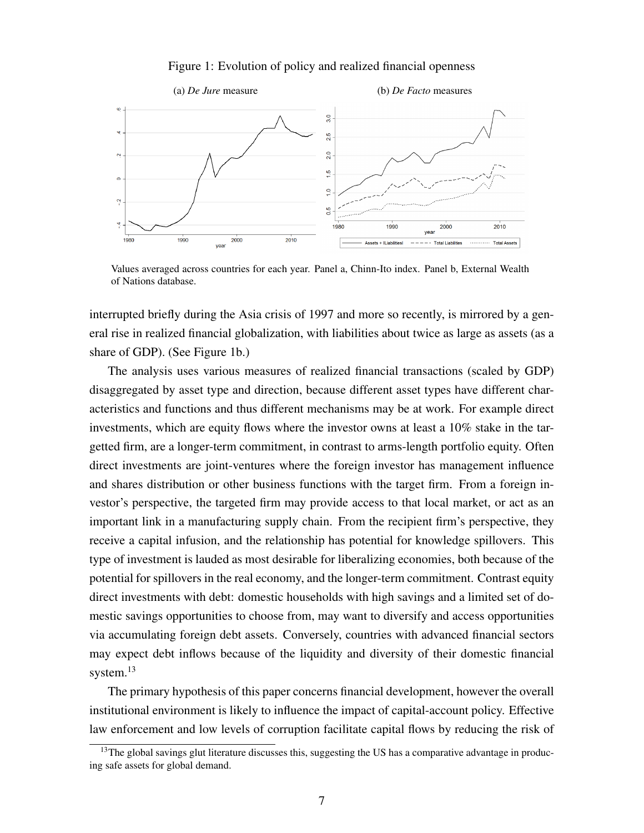#### Figure 1: Evolution of policy and realized financial openness



Values averaged across countries for each year. Panel a, Chinn-Ito index. Panel b, External Wealth of Nations database.

interrupted briefly during the Asia crisis of 1997 and more so recently, is mirrored by a general rise in realized financial globalization, with liabilities about twice as large as assets (as a share of GDP). (See Figure 1b.)

The analysis uses various measures of realized financial transactions (scaled by GDP) disaggregated by asset type and direction, because different asset types have different characteristics and functions and thus different mechanisms may be at work. For example direct investments, which are equity flows where the investor owns at least a 10% stake in the targetted firm, are a longer-term commitment, in contrast to arms-length portfolio equity. Often direct investments are joint-ventures where the foreign investor has management influence and shares distribution or other business functions with the target firm. From a foreign investor's perspective, the targeted firm may provide access to that local market, or act as an important link in a manufacturing supply chain. From the recipient firm's perspective, they receive a capital infusion, and the relationship has potential for knowledge spillovers. This type of investment is lauded as most desirable for liberalizing economies, both because of the potential for spillovers in the real economy, and the longer-term commitment. Contrast equity direct investments with debt: domestic households with high savings and a limited set of domestic savings opportunities to choose from, may want to diversify and access opportunities via accumulating foreign debt assets. Conversely, countries with advanced financial sectors may expect debt inflows because of the liquidity and diversity of their domestic financial system.<sup>13</sup>

The primary hypothesis of this paper concerns financial development, however the overall institutional environment is likely to influence the impact of capital-account policy. Effective law enforcement and low levels of corruption facilitate capital flows by reducing the risk of

 $13$ The global savings glut literature discusses this, suggesting the US has a comparative advantage in producing safe assets for global demand.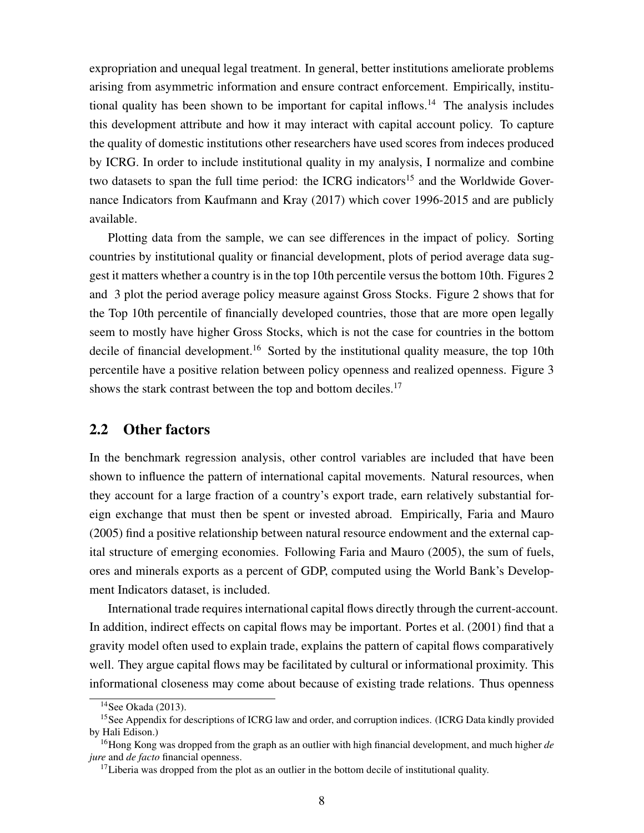expropriation and unequal legal treatment. In general, better institutions ameliorate problems arising from asymmetric information and ensure contract enforcement. Empirically, institutional quality has been shown to be important for capital inflows.<sup>14</sup> The analysis includes this development attribute and how it may interact with capital account policy. To capture the quality of domestic institutions other researchers have used scores from indeces produced by ICRG. In order to include institutional quality in my analysis, I normalize and combine two datasets to span the full time period: the ICRG indicators<sup>15</sup> and the Worldwide Governance Indicators from Kaufmann and Kray (2017) which cover 1996-2015 and are publicly available.

Plotting data from the sample, we can see differences in the impact of policy. Sorting countries by institutional quality or financial development, plots of period average data suggest it matters whether a country is in the top 10th percentile versus the bottom 10th. Figures 2 and 3 plot the period average policy measure against Gross Stocks. Figure 2 shows that for the Top 10th percentile of financially developed countries, those that are more open legally seem to mostly have higher Gross Stocks, which is not the case for countries in the bottom decile of financial development.<sup>16</sup> Sorted by the institutional quality measure, the top 10th percentile have a positive relation between policy openness and realized openness. Figure 3 shows the stark contrast between the top and bottom deciles.<sup>17</sup>

### 2.2 Other factors

In the benchmark regression analysis, other control variables are included that have been shown to influence the pattern of international capital movements. Natural resources, when they account for a large fraction of a country's export trade, earn relatively substantial foreign exchange that must then be spent or invested abroad. Empirically, Faria and Mauro (2005) find a positive relationship between natural resource endowment and the external capital structure of emerging economies. Following Faria and Mauro (2005), the sum of fuels, ores and minerals exports as a percent of GDP, computed using the World Bank's Development Indicators dataset, is included.

International trade requires international capital flows directly through the current-account. In addition, indirect effects on capital flows may be important. Portes et al. (2001) find that a gravity model often used to explain trade, explains the pattern of capital flows comparatively well. They argue capital flows may be facilitated by cultural or informational proximity. This informational closeness may come about because of existing trade relations. Thus openness

 $14$ See Okada (2013).

<sup>&</sup>lt;sup>15</sup>See Appendix for descriptions of ICRG law and order, and corruption indices. (ICRG Data kindly provided by Hali Edison.)

<sup>16</sup>Hong Kong was dropped from the graph as an outlier with high financial development, and much higher *de jure* and *de facto* financial openness.

 $17$ Liberia was dropped from the plot as an outlier in the bottom decile of institutional quality.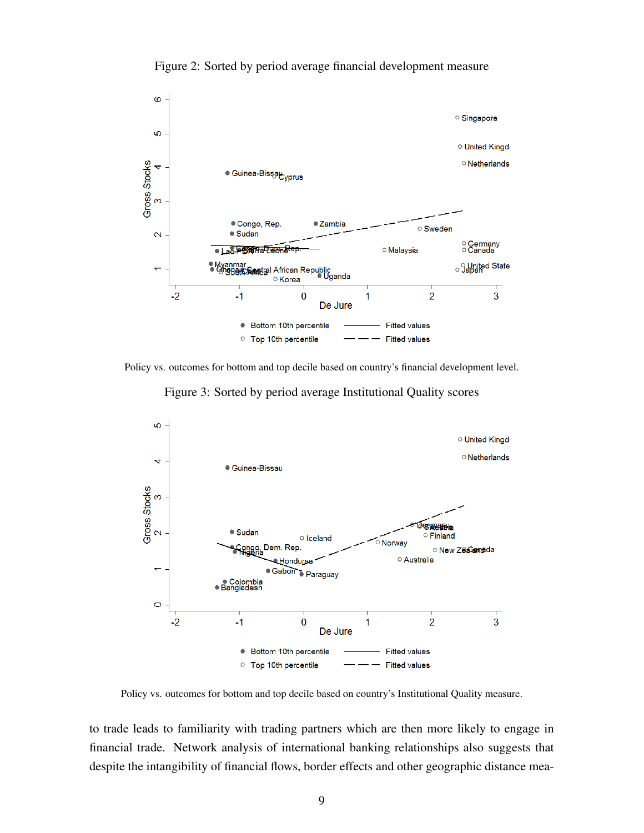

Figure 2: Sorted by period average financial development measure

Policy vs. outcomes for bottom and top decile based on country's financial development level.

Figure 3: Sorted by period average Institutional Quality scores



Policy vs. outcomes for bottom and top decile based on country's Institutional Quality measure.

to trade leads to familiarity with trading partners which are then more likely to engage in financial trade. Network analysis of international banking relationships also suggests that despite the intangibility of financial flows, border effects and other geographic distance mea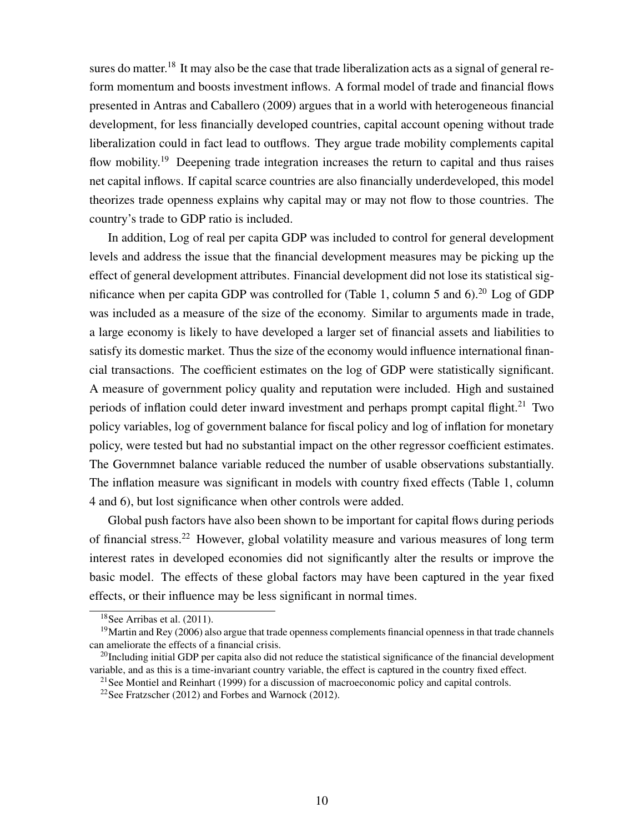sures do matter.<sup>18</sup> It may also be the case that trade liberalization acts as a signal of general reform momentum and boosts investment inflows. A formal model of trade and financial flows presented in Antras and Caballero (2009) argues that in a world with heterogeneous financial development, for less financially developed countries, capital account opening without trade liberalization could in fact lead to outflows. They argue trade mobility complements capital flow mobility.<sup>19</sup> Deepening trade integration increases the return to capital and thus raises net capital inflows. If capital scarce countries are also financially underdeveloped, this model theorizes trade openness explains why capital may or may not flow to those countries. The country's trade to GDP ratio is included.

In addition, Log of real per capita GDP was included to control for general development levels and address the issue that the financial development measures may be picking up the effect of general development attributes. Financial development did not lose its statistical significance when per capita GDP was controlled for (Table 1, column 5 and 6).<sup>20</sup> Log of GDP was included as a measure of the size of the economy. Similar to arguments made in trade, a large economy is likely to have developed a larger set of financial assets and liabilities to satisfy its domestic market. Thus the size of the economy would influence international financial transactions. The coefficient estimates on the log of GDP were statistically significant. A measure of government policy quality and reputation were included. High and sustained periods of inflation could deter inward investment and perhaps prompt capital flight.<sup>21</sup> Two policy variables, log of government balance for fiscal policy and log of inflation for monetary policy, were tested but had no substantial impact on the other regressor coefficient estimates. The Governmnet balance variable reduced the number of usable observations substantially. The inflation measure was significant in models with country fixed effects (Table 1, column 4 and 6), but lost significance when other controls were added.

Global push factors have also been shown to be important for capital flows during periods of financial stress.<sup>22</sup> However, global volatility measure and various measures of long term interest rates in developed economies did not significantly alter the results or improve the basic model. The effects of these global factors may have been captured in the year fixed effects, or their influence may be less significant in normal times.

<sup>18</sup>See Arribas et al. (2011).

 $19$ Martin and Rey (2006) also argue that trade openness complements financial openness in that trade channels can ameliorate the effects of a financial crisis.

 $^{20}$ Including initial GDP per capita also did not reduce the statistical significance of the financial development variable, and as this is a time-invariant country variable, the effect is captured in the country fixed effect.

<sup>&</sup>lt;sup>21</sup>See Montiel and Reinhart (1999) for a discussion of macroeconomic policy and capital controls.

<sup>&</sup>lt;sup>22</sup>See Fratzscher (2012) and Forbes and Warnock (2012).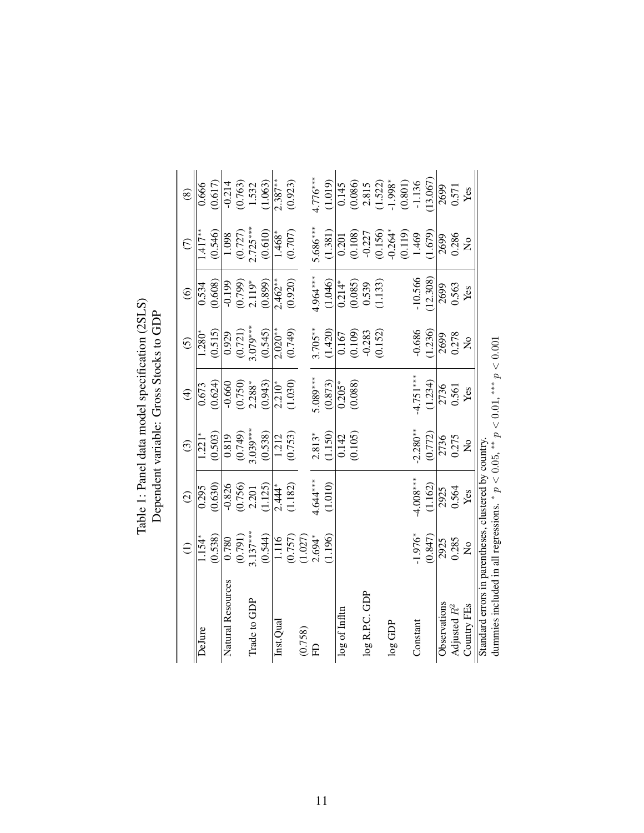| : Panel data model specification (2SLS) | ך<br>ק<br>$\frac{1}{2}$<br>ependent variable: Gross Stocks |
|-----------------------------------------|------------------------------------------------------------|
| Table 1:                                |                                                            |

|                                                                                     | $\widehat{\Xi}$                   | $\widehat{c}$           | $\widehat{\mathcal{O}}$             | $\widehat{\mathcal{F}}$      | $\odot$                                                 | $\widehat{\circ}$                                                    | $\widehat{C}$                                                          | $\circledS$                                                                 |
|-------------------------------------------------------------------------------------|-----------------------------------|-------------------------|-------------------------------------|------------------------------|---------------------------------------------------------|----------------------------------------------------------------------|------------------------------------------------------------------------|-----------------------------------------------------------------------------|
| DeJure                                                                              | $1.154*$                          | 0.295                   | $1.221*$                            | 0.673                        | $\sqrt{280}$                                            | 0.534                                                                | $1.417**$                                                              | 0.666                                                                       |
|                                                                                     | (0.538)                           | (0.630)                 | (0.503)                             | (0.624)                      | (0.515)                                                 | (0.608)                                                              | (0.546)                                                                | (0.617)                                                                     |
| Natural Resources                                                                   | 087.0                             | $-0.826$                |                                     | $-0.660$                     | 0.929                                                   | $-0.199$                                                             | 1.098                                                                  | $-0.214$                                                                    |
|                                                                                     | (0.791)                           | $\frac{(0.756)}{2.201}$ | $\frac{0.819}{(0.749)}$<br>3.039*** | $(0.750)$<br>2.288*          | $(0.721)$<br>3.079***                                   | $(0.799)$<br>2.119*                                                  | (0.727)                                                                |                                                                             |
| Trade to GDP                                                                        | $3.137***$                        |                         |                                     |                              |                                                         |                                                                      | $2.725***$                                                             | $(0.763)$<br>1.532<br>(1.063)                                               |
|                                                                                     | (0.544)                           | (1.125)                 | (0.538)                             | (0.943)                      | (0.545)                                                 | (0.899)                                                              | (0.610)                                                                |                                                                             |
| Inst.Qua                                                                            |                                   | $2.444*$                | $\frac{1.212}{2}$                   | $\frac{2.210^{*}}{2.20^{*}}$ | $2.020**$                                               | $2.462**$                                                            | $1.468*$                                                               | $2.387**$                                                                   |
|                                                                                     | $\frac{1116}{(0.757)}$<br>(1.027) | (1.182)                 | (0.753)                             | (1.030)                      | (0.749)                                                 | (0.920)                                                              | (0.707)                                                                | (0.923)                                                                     |
| (0.758)                                                                             |                                   |                         |                                     |                              |                                                         |                                                                      |                                                                        |                                                                             |
| ED                                                                                  | $2.694*$                          | $1.644***$              | $2.813*$                            | $5.089***$                   | $3.705***$                                              | $4.964***$                                                           | $5.686***$                                                             | $4.776***$                                                                  |
|                                                                                     | 1.196)                            | (1.010)                 | (1.150)                             | (0.873)                      | (1.420)                                                 | (1.046)                                                              | (1.381)                                                                | (1.019)                                                                     |
| log of Infltn                                                                       |                                   |                         | 0.142                               | $0.205*$                     |                                                         |                                                                      |                                                                        |                                                                             |
|                                                                                     |                                   |                         | (0.105)                             | (0.088)                      | $\begin{array}{c} 0.167 \\ 0.109 \\ -0.283 \end{array}$ |                                                                      |                                                                        |                                                                             |
| log R.P.C. GDP                                                                      |                                   |                         |                                     |                              |                                                         | $\begin{array}{c} 0.214* \\ (0.085) \\ 0.539 \\ (1.133) \end{array}$ | $0.201$<br>$(0.108)$<br>$-0.227$<br>$(0.156)$<br>$-0.264$ <sup>*</sup> | $\begin{array}{c} 0.145 \\ 0.086 \\ 2.815 \\ 1.522 \\ -1.998^* \end{array}$ |
|                                                                                     |                                   |                         |                                     |                              | (0.152)                                                 |                                                                      |                                                                        |                                                                             |
| $\log$ GDP                                                                          |                                   |                         |                                     |                              |                                                         |                                                                      |                                                                        |                                                                             |
|                                                                                     |                                   |                         |                                     |                              |                                                         |                                                                      | $(0.119)$<br>1.469                                                     | $(0.801)$                                                                   |
| Constant                                                                            | (0.847)                           | $4.008***$              | $-2.280**$                          | $-4.751***$<br>(1.234)       | $-0.686$<br>(1.236)                                     | $-10.566$<br>(12.308)                                                |                                                                        | $-1.136$                                                                    |
|                                                                                     |                                   | (1.162)                 | (0.772)                             |                              |                                                         |                                                                      | 1.679                                                                  | 13.067)                                                                     |
| Observations                                                                        | 2925<br>0.285                     |                         |                                     |                              | 2699                                                    | 2699                                                                 | 2699                                                                   | 2699                                                                        |
| Adjusted $R^2$                                                                      |                                   | 2925<br>0.564<br>Yes    | 2736<br>0.275<br>No                 | 2736<br>0.561                |                                                         | 0.563                                                                | 0.286                                                                  | 0.571                                                                       |
| Country FEs                                                                         | $\mathsf{S}^{\mathsf{o}}$         |                         |                                     | Yes                          | $\mathsf{S}^{\mathsf{o}}$                               | Yes                                                                  | $\frac{1}{2}$                                                          | Yes                                                                         |
| Standard errors in parentheses, clustered by country                                |                                   |                         |                                     |                              |                                                         |                                                                      |                                                                        |                                                                             |
| dummies included in all regressions. * $p < 0.05$ , ** $p < 0.01$ , *** $p < 0.001$ |                                   |                         |                                     |                              |                                                         |                                                                      |                                                                        |                                                                             |

dummies included in all regressions. \*  $p < 0.05$ , \*\*  $p < 0.01$ , \*\*  $p < 0.001$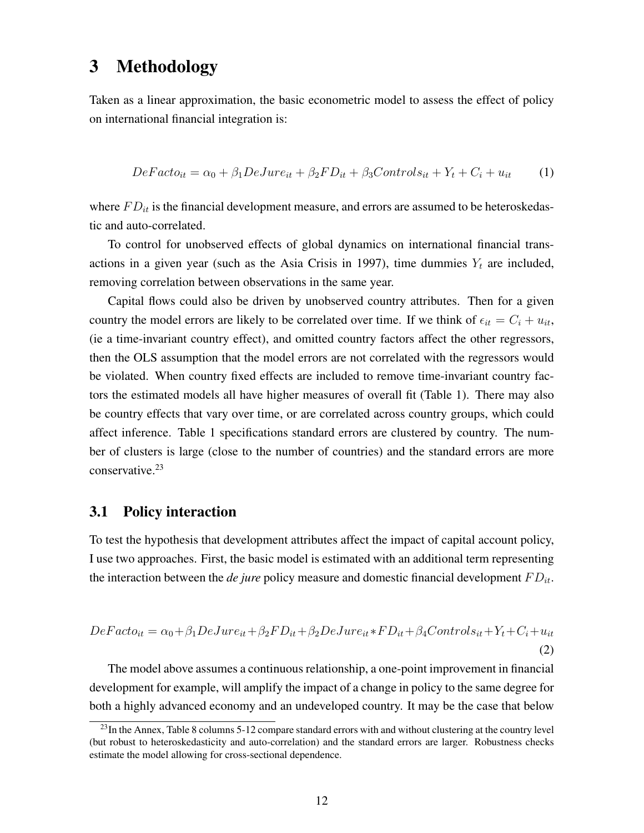## 3 Methodology

Taken as a linear approximation, the basic econometric model to assess the effect of policy on international financial integration is:

$$
DeFacto_{it} = \alpha_0 + \beta_1 DeJune_{it} + \beta_2 FD_{it} + \beta_3 Controls_{it} + Y_t + C_i + u_{it} \tag{1}
$$

where  $FD_{it}$  is the financial development measure, and errors are assumed to be heteroskedastic and auto-correlated.

To control for unobserved effects of global dynamics on international financial transactions in a given year (such as the Asia Crisis in 1997), time dummies  $Y_t$  are included, removing correlation between observations in the same year.

Capital flows could also be driven by unobserved country attributes. Then for a given country the model errors are likely to be correlated over time. If we think of  $\epsilon_{it} = C_i + u_{it}$ , (ie a time-invariant country effect), and omitted country factors affect the other regressors, then the OLS assumption that the model errors are not correlated with the regressors would be violated. When country fixed effects are included to remove time-invariant country factors the estimated models all have higher measures of overall fit (Table 1). There may also be country effects that vary over time, or are correlated across country groups, which could affect inference. Table 1 specifications standard errors are clustered by country. The number of clusters is large (close to the number of countries) and the standard errors are more conservative.<sup>23</sup>

### 3.1 Policy interaction

To test the hypothesis that development attributes affect the impact of capital account policy, I use two approaches. First, the basic model is estimated with an additional term representing the interaction between the *de jure* policy measure and domestic financial development  $FD_{it}$ .

$$
DeFacto_{it} = \alpha_0 + \beta_1 DeJune_{it} + \beta_2 FD_{it} + \beta_2 DeJune_{it} * FD_{it} + \beta_4 Controls_{it} + Y_t + C_i + u_{it}
$$
\n(2)

The model above assumes a continuous relationship, a one-point improvement in financial development for example, will amplify the impact of a change in policy to the same degree for both a highly advanced economy and an undeveloped country. It may be the case that below

 $^{23}$ In the Annex, Table 8 columns 5-12 compare standard errors with and without clustering at the country level (but robust to heteroskedasticity and auto-correlation) and the standard errors are larger. Robustness checks estimate the model allowing for cross-sectional dependence.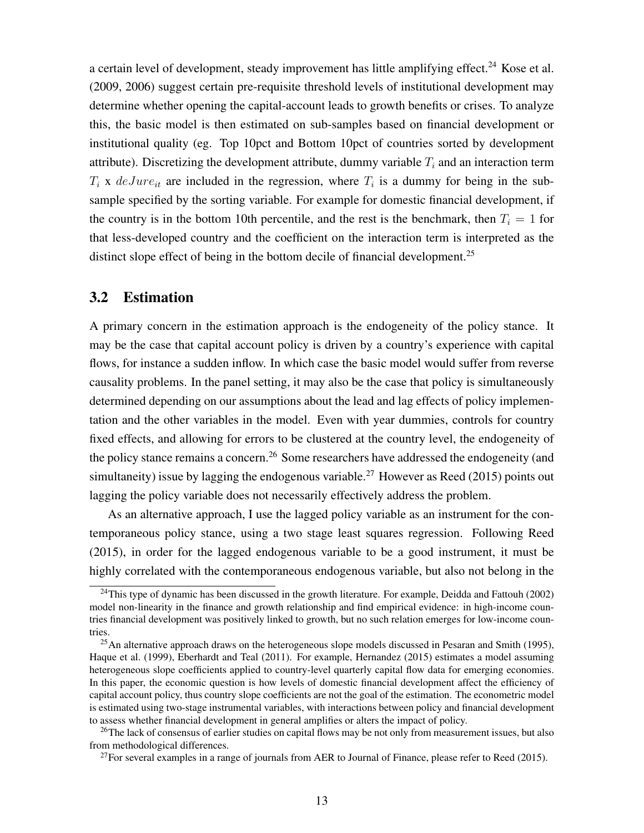a certain level of development, steady improvement has little amplifying effect.<sup>24</sup> Kose et al. (2009, 2006) suggest certain pre-requisite threshold levels of institutional development may determine whether opening the capital-account leads to growth benefits or crises. To analyze this, the basic model is then estimated on sub-samples based on financial development or institutional quality (eg. Top 10pct and Bottom 10pct of countries sorted by development attribute). Discretizing the development attribute, dummy variable  $T_i$  and an interaction term  $T_i$  x  $deJune_{it}$  are included in the regression, where  $T_i$  is a dummy for being in the subsample specified by the sorting variable. For example for domestic financial development, if the country is in the bottom 10th percentile, and the rest is the benchmark, then  $T_i = 1$  for that less-developed country and the coefficient on the interaction term is interpreted as the distinct slope effect of being in the bottom decile of financial development.<sup>25</sup>

### 3.2 Estimation

A primary concern in the estimation approach is the endogeneity of the policy stance. It may be the case that capital account policy is driven by a country's experience with capital flows, for instance a sudden inflow. In which case the basic model would suffer from reverse causality problems. In the panel setting, it may also be the case that policy is simultaneously determined depending on our assumptions about the lead and lag effects of policy implementation and the other variables in the model. Even with year dummies, controls for country fixed effects, and allowing for errors to be clustered at the country level, the endogeneity of the policy stance remains a concern.<sup>26</sup> Some researchers have addressed the endogeneity (and simultaneity) issue by lagging the endogenous variable.<sup>27</sup> However as Reed (2015) points out lagging the policy variable does not necessarily effectively address the problem.

As an alternative approach, I use the lagged policy variable as an instrument for the contemporaneous policy stance, using a two stage least squares regression. Following Reed (2015), in order for the lagged endogenous variable to be a good instrument, it must be highly correlated with the contemporaneous endogenous variable, but also not belong in the

<sup>&</sup>lt;sup>24</sup>This type of dynamic has been discussed in the growth literature. For example, Deidda and Fattouh (2002) model non-linearity in the finance and growth relationship and find empirical evidence: in high-income countries financial development was positively linked to growth, but no such relation emerges for low-income countries.

<sup>&</sup>lt;sup>25</sup>An alternative approach draws on the heterogeneous slope models discussed in Pesaran and Smith (1995), Haque et al. (1999), Eberhardt and Teal (2011). For example, Hernandez (2015) estimates a model assuming heterogeneous slope coefficients applied to country-level quarterly capital flow data for emerging economies. In this paper, the economic question is how levels of domestic financial development affect the efficiency of capital account policy, thus country slope coefficients are not the goal of the estimation. The econometric model is estimated using two-stage instrumental variables, with interactions between policy and financial development to assess whether financial development in general amplifies or alters the impact of policy.

<sup>&</sup>lt;sup>26</sup>The lack of consensus of earlier studies on capital flows may be not only from measurement issues, but also from methodological differences.

 $^{27}$ For several examples in a range of journals from AER to Journal of Finance, please refer to Reed (2015).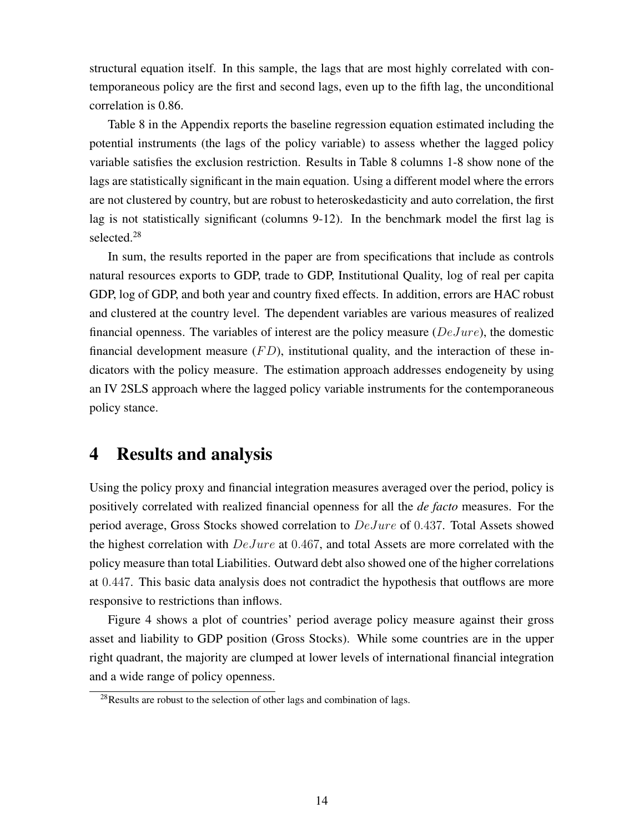structural equation itself. In this sample, the lags that are most highly correlated with contemporaneous policy are the first and second lags, even up to the fifth lag, the unconditional correlation is 0.86.

Table 8 in the Appendix reports the baseline regression equation estimated including the potential instruments (the lags of the policy variable) to assess whether the lagged policy variable satisfies the exclusion restriction. Results in Table 8 columns 1-8 show none of the lags are statistically significant in the main equation. Using a different model where the errors are not clustered by country, but are robust to heteroskedasticity and auto correlation, the first lag is not statistically significant (columns 9-12). In the benchmark model the first lag is selected.<sup>28</sup>

In sum, the results reported in the paper are from specifications that include as controls natural resources exports to GDP, trade to GDP, Institutional Quality, log of real per capita GDP, log of GDP, and both year and country fixed effects. In addition, errors are HAC robust and clustered at the country level. The dependent variables are various measures of realized financial openness. The variables of interest are the policy measure  $(DeJune)$ , the domestic financial development measure  $(FD)$ , institutional quality, and the interaction of these indicators with the policy measure. The estimation approach addresses endogeneity by using an IV 2SLS approach where the lagged policy variable instruments for the contemporaneous policy stance.

## 4 Results and analysis

Using the policy proxy and financial integration measures averaged over the period, policy is positively correlated with realized financial openness for all the *de facto* measures. For the period average, Gross Stocks showed correlation to DeJure of 0.437. Total Assets showed the highest correlation with  $DeJure$  at 0.467, and total Assets are more correlated with the policy measure than total Liabilities. Outward debt also showed one of the higher correlations at 0.447. This basic data analysis does not contradict the hypothesis that outflows are more responsive to restrictions than inflows.

Figure 4 shows a plot of countries' period average policy measure against their gross asset and liability to GDP position (Gross Stocks). While some countries are in the upper right quadrant, the majority are clumped at lower levels of international financial integration and a wide range of policy openness.

<sup>&</sup>lt;sup>28</sup>Results are robust to the selection of other lags and combination of lags.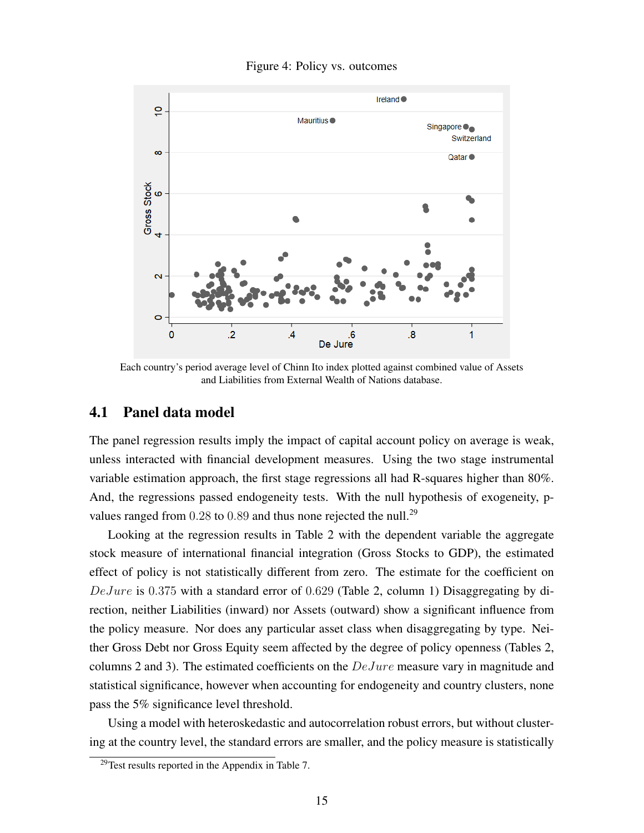#### Figure 4: Policy vs. outcomes



Each country's period average level of Chinn Ito index plotted against combined value of Assets and Liabilities from External Wealth of Nations database.

### 4.1 Panel data model

The panel regression results imply the impact of capital account policy on average is weak, unless interacted with financial development measures. Using the two stage instrumental variable estimation approach, the first stage regressions all had R-squares higher than 80%. And, the regressions passed endogeneity tests. With the null hypothesis of exogeneity, pvalues ranged from  $0.28$  to  $0.89$  and thus none rejected the null.<sup>29</sup>

Looking at the regression results in Table 2 with the dependent variable the aggregate stock measure of international financial integration (Gross Stocks to GDP), the estimated effect of policy is not statistically different from zero. The estimate for the coefficient on  $DeJure$  is 0.375 with a standard error of 0.629 (Table 2, column 1) Disaggregating by direction, neither Liabilities (inward) nor Assets (outward) show a significant influence from the policy measure. Nor does any particular asset class when disaggregating by type. Neither Gross Debt nor Gross Equity seem affected by the degree of policy openness (Tables 2, columns 2 and 3). The estimated coefficients on the DeJure measure vary in magnitude and statistical significance, however when accounting for endogeneity and country clusters, none pass the 5% significance level threshold.

Using a model with heteroskedastic and autocorrelation robust errors, but without clustering at the country level, the standard errors are smaller, and the policy measure is statistically

 $29$ Test results reported in the Appendix in Table 7.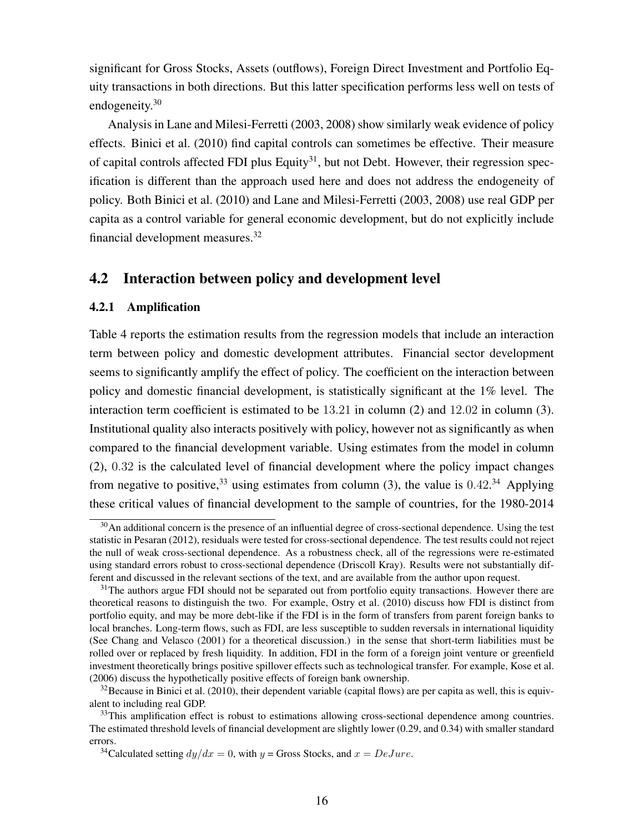significant for Gross Stocks, Assets (outflows), Foreign Direct Investment and Portfolio Equity transactions in both directions. But this latter specification performs less well on tests of endogeneity.<sup>30</sup>

Analysis in Lane and Milesi-Ferretti (2003, 2008) show similarly weak evidence of policy effects. Binici et al. (2010) find capital controls can sometimes be effective. Their measure of capital controls affected FDI plus Equity<sup>31</sup>, but not Debt. However, their regression specification is different than the approach used here and does not address the endogeneity of policy. Both Binici et al. (2010) and Lane and Milesi-Ferretti (2003, 2008) use real GDP per capita as a control variable for general economic development, but do not explicitly include financial development measures.<sup>32</sup>

### 4.2 Interaction between policy and development level

#### 4.2.1 Amplification

Table 4 reports the estimation results from the regression models that include an interaction term between policy and domestic development attributes. Financial sector development seems to significantly amplify the effect of policy. The coefficient on the interaction between policy and domestic financial development, is statistically significant at the 1% level. The interaction term coefficient is estimated to be 13.21 in column (2) and 12.02 in column (3). Institutional quality also interacts positively with policy, however not as significantly as when compared to the financial development variable. Using estimates from the model in column (2), 0.32 is the calculated level of financial development where the policy impact changes from negative to positive,  $33$  using estimates from column (3), the value is  $0.42$ . Applying these critical values of financial development to the sample of countries, for the 1980-2014

<sup>&</sup>lt;sup>30</sup>An additional concern is the presence of an influential degree of cross-sectional dependence. Using the test statistic in Pesaran (2012), residuals were tested for cross-sectional dependence. The test results could not reject the null of weak cross-sectional dependence. As a robustness check, all of the regressions were re-estimated using standard errors robust to cross-sectional dependence (Driscoll Kray). Results were not substantially different and discussed in the relevant sections of the text, and are available from the author upon request.

<sup>&</sup>lt;sup>31</sup>The authors argue FDI should not be separated out from portfolio equity transactions. However there are theoretical reasons to distinguish the two. For example, Ostry et al. (2010) discuss how FDI is distinct from portfolio equity, and may be more debt-like if the FDI is in the form of transfers from parent foreign banks to local branches. Long-term flows, such as FDI, are less susceptible to sudden reversals in international liquidity (See Chang and Velasco (2001) for a theoretical discussion.) in the sense that short-term liabilities must be rolled over or replaced by fresh liquidity. In addition, FDI in the form of a foreign joint venture or greenfield investment theoretically brings positive spillover effects such as technological transfer. For example, Kose et al. (2006) discuss the hypothetically positive effects of foreign bank ownership.

 $32$ Because in Binici et al. (2010), their dependent variable (capital flows) are per capita as well, this is equivalent to including real GDP.

 $33$ This amplification effect is robust to estimations allowing cross-sectional dependence among countries. The estimated threshold levels of financial development are slightly lower (0.29, and 0.34) with smaller standard errors.

<sup>&</sup>lt;sup>34</sup>Calculated setting  $dy/dx = 0$ , with  $y =$  Gross Stocks, and  $x = DeJure$ .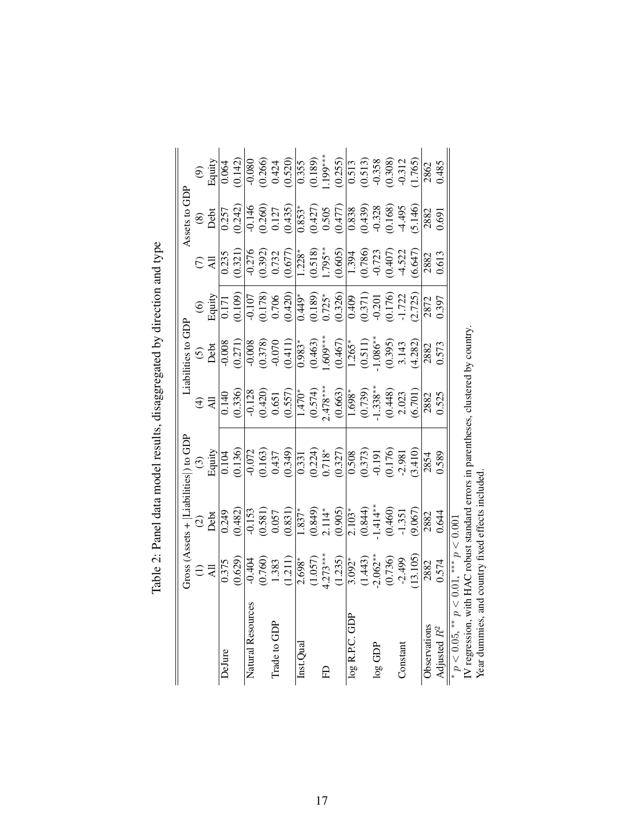|                                                                                     |                                                                                         |                                                                                                        | $Gross$ (Assets + $ Liabilities $ ) to $GDP$                                                                                                                                                                                                                                                      |                                                                                                                                                                                                                                                                                                                       | Liabilities to GDP                                                                                                                                |                                                                              |                                                                               | Assets to GDP                                                                                        |                                                                                                                                                                                                                                                                                                                                          |
|-------------------------------------------------------------------------------------|-----------------------------------------------------------------------------------------|--------------------------------------------------------------------------------------------------------|---------------------------------------------------------------------------------------------------------------------------------------------------------------------------------------------------------------------------------------------------------------------------------------------------|-----------------------------------------------------------------------------------------------------------------------------------------------------------------------------------------------------------------------------------------------------------------------------------------------------------------------|---------------------------------------------------------------------------------------------------------------------------------------------------|------------------------------------------------------------------------------|-------------------------------------------------------------------------------|------------------------------------------------------------------------------------------------------|------------------------------------------------------------------------------------------------------------------------------------------------------------------------------------------------------------------------------------------------------------------------------------------------------------------------------------------|
|                                                                                     |                                                                                         |                                                                                                        |                                                                                                                                                                                                                                                                                                   |                                                                                                                                                                                                                                                                                                                       |                                                                                                                                                   |                                                                              |                                                                               |                                                                                                      |                                                                                                                                                                                                                                                                                                                                          |
|                                                                                     | $\Xi$                                                                                   | $\frac{2}{\text{Det}}$<br>$\frac{1}{\text{Det}}$<br>$\frac{1}{\text{Det}}$<br>$\frac{482}{\text{Det}}$ | $\frac{\text{(3)}}{\text{Equity}}$                                                                                                                                                                                                                                                                | $\exists \hat{z}$                                                                                                                                                                                                                                                                                                     | G<br>Debt                                                                                                                                         | $\frac{1}{\text{Equity}}$<br>Equity<br>0.171                                 | $\frac{1}{2}$ $\frac{1}{2}$                                                   | $\frac{(8)}{0.257}$<br>0.257                                                                         | $\mathop{\rm Edim}\limits_{\mathop{\rm Equity}}$                                                                                                                                                                                                                                                                                         |
| DeJure                                                                              | 0.375                                                                                   |                                                                                                        | $\frac{1}{0.104}$                                                                                                                                                                                                                                                                                 |                                                                                                                                                                                                                                                                                                                       |                                                                                                                                                   |                                                                              |                                                                               |                                                                                                      | 0.064                                                                                                                                                                                                                                                                                                                                    |
|                                                                                     | (0.629)                                                                                 |                                                                                                        |                                                                                                                                                                                                                                                                                                   | $\frac{0.140}{0.336}$                                                                                                                                                                                                                                                                                                 | $-0.008$<br>$(0.271)$<br>$-0.008$<br>$-0.378$<br>$-0.070$<br>$-0.071$                                                                             |                                                                              | (0.321)                                                                       |                                                                                                      | (0.142)                                                                                                                                                                                                                                                                                                                                  |
| Natural Resources                                                                   |                                                                                         |                                                                                                        |                                                                                                                                                                                                                                                                                                   |                                                                                                                                                                                                                                                                                                                       |                                                                                                                                                   |                                                                              |                                                                               |                                                                                                      |                                                                                                                                                                                                                                                                                                                                          |
|                                                                                     | $\frac{\overline{)0,404}}{\overline{0.760}}$<br>1.383<br>1.211)<br>(1.211)              |                                                                                                        |                                                                                                                                                                                                                                                                                                   |                                                                                                                                                                                                                                                                                                                       |                                                                                                                                                   |                                                                              |                                                                               |                                                                                                      |                                                                                                                                                                                                                                                                                                                                          |
| Trade to GDP                                                                        |                                                                                         |                                                                                                        |                                                                                                                                                                                                                                                                                                   |                                                                                                                                                                                                                                                                                                                       |                                                                                                                                                   |                                                                              |                                                                               |                                                                                                      |                                                                                                                                                                                                                                                                                                                                          |
|                                                                                     |                                                                                         | $\frac{1}{0.153}$<br>$\frac{(0.581)}{0.057}$<br>$\frac{0.057}{0.031}$                                  | $\frac{1}{0.072}$<br>$(0.163)$<br>$(0.437)$<br>$(0.349)$                                                                                                                                                                                                                                          | $\begin{array}{r l} 1.128 \\[-4pt] 0.420) \\[-4pt] 0.651 \\[-4pt] 0.577) \\[-4pt] 0.574) \\[-4pt] 0.478^{***} \\[-4pt] 0.663) \\[-4pt] 0.663^* \\[-4pt] 0.739, \\[-4pt] 0.739, \\[-4pt] 0.448) \\[-4pt] 0.23 \\[-4pt] 0.23 \\[-4pt] 0.23 \\[-4pt] 0.23 \\[-4pt] 0.23 \\[-4pt] 0.23 \\[-4pt] 0.23 \\[-4pt] 0.23 \\[-4$ |                                                                                                                                                   | $\frac{0.107}{0.178}$<br>0.706<br>0.706<br>0.420)                            | $\frac{0.276}{0.392}$<br>0.392)<br>0.732<br>0.677)                            | $\frac{1}{0.146}$<br>$\frac{(0.260)}{0.127}$<br>0.435)                                               | $\begin{array}{r rrrr} & 0.080 & \\[-2pt] & 0.266 & \\[-2pt] & 0.424 & \\[-2pt] & 0.355 & \\[-2pt] & 0.355 & \\[-2pt] & 0.189\\[-2pt] & 0.250 & \\[-2pt] & 0.250 & \\[-2pt] & 0.250 & \\[-2pt] & 0.313 & \\[-2pt] & 0.312 & \\[-2pt] & 0.312 & \\[-2pt] & 0.312 & \\[-2pt] & 0.312 & \\[-2pt] & 0.312 & \\[-2pt] & 0.312 & \\[-2pt] & 0$ |
| Inst.Qua                                                                            | $2.698*$                                                                                |                                                                                                        |                                                                                                                                                                                                                                                                                                   |                                                                                                                                                                                                                                                                                                                       |                                                                                                                                                   | $\frac{1}{149}$                                                              |                                                                               |                                                                                                      |                                                                                                                                                                                                                                                                                                                                          |
|                                                                                     |                                                                                         |                                                                                                        |                                                                                                                                                                                                                                                                                                   |                                                                                                                                                                                                                                                                                                                       |                                                                                                                                                   |                                                                              | $\frac{1.228^*}{(0.518)}$<br>1.795**                                          | $\frac{0.853^*}{(0.427)}$<br>0.505                                                                   |                                                                                                                                                                                                                                                                                                                                          |
| Ê                                                                                   |                                                                                         |                                                                                                        |                                                                                                                                                                                                                                                                                                   |                                                                                                                                                                                                                                                                                                                       |                                                                                                                                                   | $(0.189)$<br>0.725*                                                          |                                                                               |                                                                                                      |                                                                                                                                                                                                                                                                                                                                          |
|                                                                                     | $(1.057)$<br>$4.273***$<br>$(1.235)$<br>$3.092*$<br>$(1.443)$<br>$(1.443)$<br>$(0.736)$ | $\frac{1}{1.837^*}$<br>(0.849)<br>(0.905)<br>2.114*<br>2.103*<br>2.103*<br>1.414**                     | $\begin{array}{l} 0.331 \\ 0.224) \\ 0.718^* \\ 0.327) \\ 0.508 \\ 0.507) \\ 0.191 \\ 0.176) \\ 0.191 \\ 0.176) \\ 0.176) \\ 0.176 \\ 0.176 \\ 0.176 \\ 0.176 \\ 0.176 \\ 0.176 \\ 0.176 \\ 0.176 \\ 0.176 \\ 0.176 \\ 0.176 \\ 0.176 \\ 0.176 \\ 0.176 \\ 0.176 \\ 0.176 \\ 0.176 \\ 0.176 \\ 0$ |                                                                                                                                                                                                                                                                                                                       | $\begin{array}{l} 0.983^* \\ (0.463) \\ (0.60^{****} \\ (0.467) \\ (0.467) \\ (0.511) \\ (0.511) \\ (0.95^* \\ (0.395) \\ (0.395) \\ \end{array}$ | (0.326)                                                                      | $\frac{(0.605)}{1.394}$<br>$\frac{(0.786)}{0.723}$<br>$\frac{(0.407)}{0.407}$ | $\begin{array}{l} (0.477) \\ 0.838 \\ (0.439) \\ (0.439) \\ -0.328 \\ (0.168) \\ +4.495 \end{array}$ |                                                                                                                                                                                                                                                                                                                                          |
| log R.P.C. GDP                                                                      |                                                                                         |                                                                                                        |                                                                                                                                                                                                                                                                                                   |                                                                                                                                                                                                                                                                                                                       |                                                                                                                                                   |                                                                              |                                                                               |                                                                                                      |                                                                                                                                                                                                                                                                                                                                          |
|                                                                                     |                                                                                         |                                                                                                        |                                                                                                                                                                                                                                                                                                   |                                                                                                                                                                                                                                                                                                                       |                                                                                                                                                   | $\begin{array}{c} 0.409 \\ 0.371) \\ -0.201 \\ 0.176) \\ -1.722 \end{array}$ |                                                                               |                                                                                                      |                                                                                                                                                                                                                                                                                                                                          |
| $\log$ GDP                                                                          |                                                                                         |                                                                                                        |                                                                                                                                                                                                                                                                                                   |                                                                                                                                                                                                                                                                                                                       |                                                                                                                                                   |                                                                              |                                                                               |                                                                                                      |                                                                                                                                                                                                                                                                                                                                          |
|                                                                                     |                                                                                         |                                                                                                        |                                                                                                                                                                                                                                                                                                   |                                                                                                                                                                                                                                                                                                                       |                                                                                                                                                   |                                                                              |                                                                               |                                                                                                      |                                                                                                                                                                                                                                                                                                                                          |
| Constant                                                                            |                                                                                         |                                                                                                        |                                                                                                                                                                                                                                                                                                   |                                                                                                                                                                                                                                                                                                                       |                                                                                                                                                   |                                                                              |                                                                               |                                                                                                      |                                                                                                                                                                                                                                                                                                                                          |
|                                                                                     | 13.105)                                                                                 | (9.067)                                                                                                | (3.410)                                                                                                                                                                                                                                                                                           |                                                                                                                                                                                                                                                                                                                       | (4.282)                                                                                                                                           | (2.725)                                                                      | (6.647)                                                                       | (5.146)                                                                                              | 1.765                                                                                                                                                                                                                                                                                                                                    |
| Observations                                                                        | 2882                                                                                    | 2882                                                                                                   | 2854                                                                                                                                                                                                                                                                                              | 2882<br>0.525                                                                                                                                                                                                                                                                                                         | 2882                                                                                                                                              | 2872                                                                         | 2882                                                                          | 2882                                                                                                 | 2862                                                                                                                                                                                                                                                                                                                                     |
| Adjusted $R^2$                                                                      | 0.574                                                                                   | 0.644                                                                                                  | 0.589                                                                                                                                                                                                                                                                                             |                                                                                                                                                                                                                                                                                                                       | 0.573                                                                                                                                             | 0.397                                                                        | 0.613                                                                         | 0.691                                                                                                | 0.485                                                                                                                                                                                                                                                                                                                                    |
| * $p < 0.05$ , ** $p < 0.01$ , *** $p < 0.001$                                      |                                                                                         |                                                                                                        |                                                                                                                                                                                                                                                                                                   |                                                                                                                                                                                                                                                                                                                       |                                                                                                                                                   |                                                                              |                                                                               |                                                                                                      |                                                                                                                                                                                                                                                                                                                                          |
| IV regression, with HAC robust standard errors in parentheses, clustered by country |                                                                                         |                                                                                                        |                                                                                                                                                                                                                                                                                                   |                                                                                                                                                                                                                                                                                                                       |                                                                                                                                                   |                                                                              |                                                                               |                                                                                                      |                                                                                                                                                                                                                                                                                                                                          |
| Year dummies, and country fixed effects included                                    |                                                                                         |                                                                                                        |                                                                                                                                                                                                                                                                                                   |                                                                                                                                                                                                                                                                                                                       |                                                                                                                                                   |                                                                              |                                                                               |                                                                                                      |                                                                                                                                                                                                                                                                                                                                          |

Table 2: Panel data model results, disaggregated by direction and type Table 2: Panel data model results, disaggregated by direction and type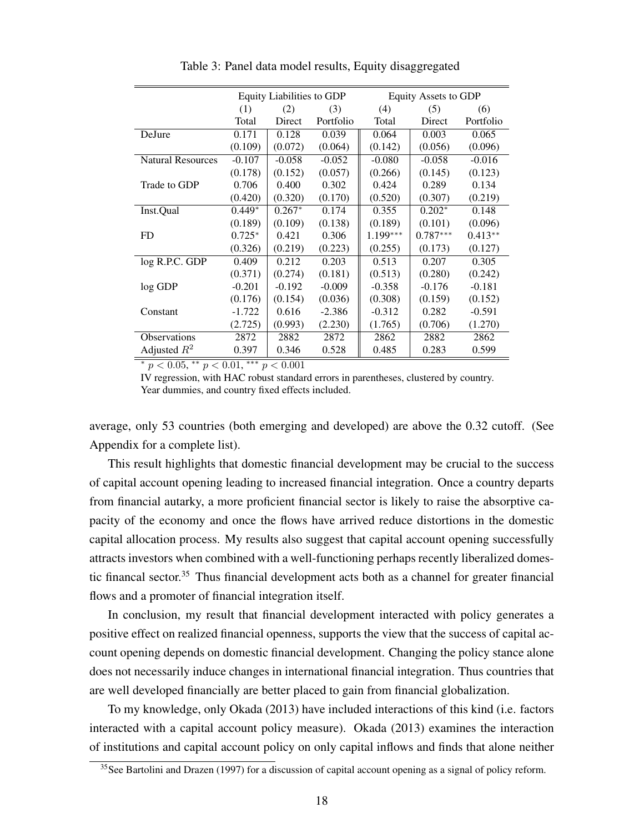|                          |          | <b>Equity Liabilities to GDP</b> |           |            | Equity Assets to GDP |           |
|--------------------------|----------|----------------------------------|-----------|------------|----------------------|-----------|
|                          | (1)      | (2)                              | (3)       | (4)        | (5)                  | (6)       |
|                          | Total    | Direct                           | Portfolio | Total      | Direct               | Portfolio |
| DeJure                   | 0.171    | 0.128                            | 0.039     | 0.064      | 0.003                | 0.065     |
|                          | (0.109)  | (0.072)                          | (0.064)   | (0.142)    | (0.056)              | (0.096)   |
| <b>Natural Resources</b> | $-0.107$ | $-0.058$                         | $-0.052$  | $-0.080$   | $-0.058$             | $-0.016$  |
|                          | (0.178)  | (0.152)                          | (0.057)   | (0.266)    | (0.145)              | (0.123)   |
| Trade to GDP             | 0.706    | 0.400                            | 0.302     | 0.424      | 0.289                | 0.134     |
|                          | (0.420)  | (0.320)                          | (0.170)   | (0.520)    | (0.307)              | (0.219)   |
| Inst.Qual                | $0.449*$ | $0.267*$                         | 0.174     | 0.355      | $0.202*$             | 0.148     |
|                          | (0.189)  | (0.109)                          | (0.138)   | (0.189)    | (0.101)              | (0.096)   |
| FD.                      | $0.725*$ | 0.421                            | 0.306     | $1.199***$ | $0.787***$           | $0.413**$ |
|                          | (0.326)  | (0.219)                          | (0.223)   | (0.255)    | (0.173)              | (0.127)   |
| log R.P.C. GDP           | 0.409    | 0.212                            | 0.203     | 0.513      | 0.207                | 0.305     |
|                          | (0.371)  | (0.274)                          | (0.181)   | (0.513)    | (0.280)              | (0.242)   |
| log GDP                  | $-0.201$ | $-0.192$                         | $-0.009$  | $-0.358$   | $-0.176$             | $-0.181$  |
|                          | (0.176)  | (0.154)                          | (0.036)   | (0.308)    | (0.159)              | (0.152)   |
| Constant                 | $-1.722$ | 0.616                            | $-2.386$  | $-0.312$   | 0.282                | $-0.591$  |
|                          | (2.725)  | (0.993)                          | (2.230)   | (1.765)    | (0.706)              | (1.270)   |
| <b>Observations</b>      | 2872     | 2882                             | 2872      | 2862       | 2882                 | 2862      |
| Adjusted $R^2$           | 0.397    | 0.346                            | 0.528     | 0.485      | 0.283                | 0.599     |

Table 3: Panel data model results, Equity disaggregated

\*  $p < 0.05$ , \*\*  $p < 0.01$ , \*\*\*  $p < 0.001$ 

IV regression, with HAC robust standard errors in parentheses, clustered by country. Year dummies, and country fixed effects included.

average, only 53 countries (both emerging and developed) are above the 0.32 cutoff. (See Appendix for a complete list).

This result highlights that domestic financial development may be crucial to the success of capital account opening leading to increased financial integration. Once a country departs from financial autarky, a more proficient financial sector is likely to raise the absorptive capacity of the economy and once the flows have arrived reduce distortions in the domestic capital allocation process. My results also suggest that capital account opening successfully attracts investors when combined with a well-functioning perhaps recently liberalized domestic financal sector.<sup>35</sup> Thus financial development acts both as a channel for greater financial flows and a promoter of financial integration itself.

In conclusion, my result that financial development interacted with policy generates a positive effect on realized financial openness, supports the view that the success of capital account opening depends on domestic financial development. Changing the policy stance alone does not necessarily induce changes in international financial integration. Thus countries that are well developed financially are better placed to gain from financial globalization.

To my knowledge, only Okada (2013) have included interactions of this kind (i.e. factors interacted with a capital account policy measure). Okada (2013) examines the interaction of institutions and capital account policy on only capital inflows and finds that alone neither

<sup>&</sup>lt;sup>35</sup>See Bartolini and Drazen (1997) for a discussion of capital account opening as a signal of policy reform.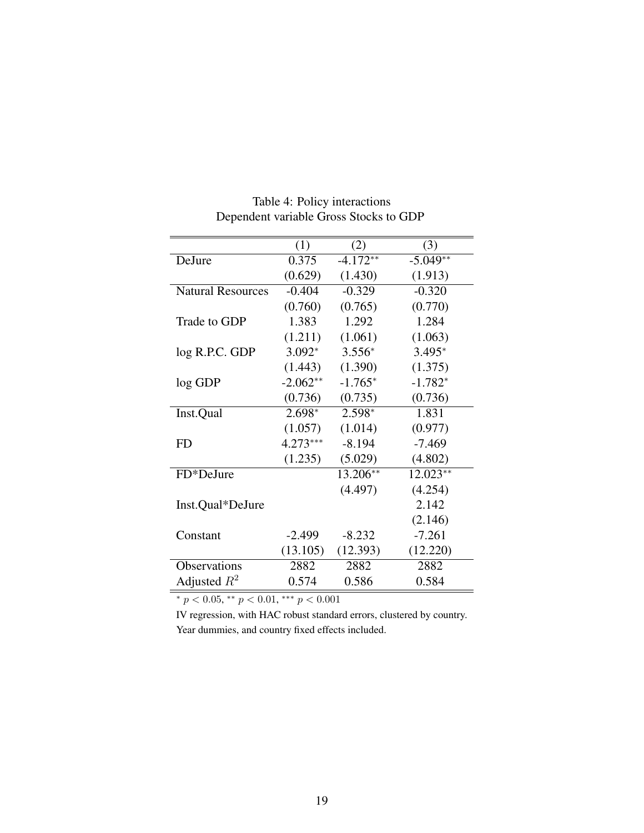| (1)<br>(3)<br>(2)<br>$-5.049**$<br>DeJure<br>0.375<br>$-4.172**$<br>(0.629)<br>(1.430)<br>(1.913)<br>$-0.329$<br>$-0.320$<br>$-0.404$<br><b>Natural Resources</b><br>(0.760)<br>(0.765)<br>(0.770)<br>1.383<br>1.292<br>1.284<br>Trade to GDP<br>(1.211)<br>(1.061)<br>(1.063)<br>log R.P.C. GDP<br>$3.092*$<br>$3.556*$<br>$3.495*$<br>(1.443)<br>(1.375)<br>(1.390)<br>$-2.062**$<br>$-1.765*$<br>$-1.782*$<br>log GDP<br>(0.736)<br>(0.736)<br>(0.735)<br>Inst.Qual<br>$2.698*$<br>2.598*<br>1.831<br>(1.057)<br>(1.014)<br>(0.977)<br>$4.273***$<br>$-8.194$<br>$-7.469$<br>FD<br>(1.235)<br>(5.029)<br>(4.802)<br>FD*DeJure<br>13.206**<br>$12.023**$<br>(4.254)<br>(4.497)<br>2.142<br>Inst.Qual*DeJure<br>(2.146)<br>$-7.261$<br>$-2.499$<br>$-8.232$<br>Constant<br>(13.105)<br>(12.393)<br>(12.220)<br>Observations<br>2882<br>2882<br>2882<br>Adjusted $R^2$<br>0.586<br>0.584<br>0.574 |  |  |
|---------------------------------------------------------------------------------------------------------------------------------------------------------------------------------------------------------------------------------------------------------------------------------------------------------------------------------------------------------------------------------------------------------------------------------------------------------------------------------------------------------------------------------------------------------------------------------------------------------------------------------------------------------------------------------------------------------------------------------------------------------------------------------------------------------------------------------------------------------------------------------------------------|--|--|
|                                                                                                                                                                                                                                                                                                                                                                                                                                                                                                                                                                                                                                                                                                                                                                                                                                                                                                   |  |  |
|                                                                                                                                                                                                                                                                                                                                                                                                                                                                                                                                                                                                                                                                                                                                                                                                                                                                                                   |  |  |
|                                                                                                                                                                                                                                                                                                                                                                                                                                                                                                                                                                                                                                                                                                                                                                                                                                                                                                   |  |  |
|                                                                                                                                                                                                                                                                                                                                                                                                                                                                                                                                                                                                                                                                                                                                                                                                                                                                                                   |  |  |
|                                                                                                                                                                                                                                                                                                                                                                                                                                                                                                                                                                                                                                                                                                                                                                                                                                                                                                   |  |  |
|                                                                                                                                                                                                                                                                                                                                                                                                                                                                                                                                                                                                                                                                                                                                                                                                                                                                                                   |  |  |
|                                                                                                                                                                                                                                                                                                                                                                                                                                                                                                                                                                                                                                                                                                                                                                                                                                                                                                   |  |  |
|                                                                                                                                                                                                                                                                                                                                                                                                                                                                                                                                                                                                                                                                                                                                                                                                                                                                                                   |  |  |
|                                                                                                                                                                                                                                                                                                                                                                                                                                                                                                                                                                                                                                                                                                                                                                                                                                                                                                   |  |  |
|                                                                                                                                                                                                                                                                                                                                                                                                                                                                                                                                                                                                                                                                                                                                                                                                                                                                                                   |  |  |
|                                                                                                                                                                                                                                                                                                                                                                                                                                                                                                                                                                                                                                                                                                                                                                                                                                                                                                   |  |  |
|                                                                                                                                                                                                                                                                                                                                                                                                                                                                                                                                                                                                                                                                                                                                                                                                                                                                                                   |  |  |
|                                                                                                                                                                                                                                                                                                                                                                                                                                                                                                                                                                                                                                                                                                                                                                                                                                                                                                   |  |  |
|                                                                                                                                                                                                                                                                                                                                                                                                                                                                                                                                                                                                                                                                                                                                                                                                                                                                                                   |  |  |
|                                                                                                                                                                                                                                                                                                                                                                                                                                                                                                                                                                                                                                                                                                                                                                                                                                                                                                   |  |  |
|                                                                                                                                                                                                                                                                                                                                                                                                                                                                                                                                                                                                                                                                                                                                                                                                                                                                                                   |  |  |
|                                                                                                                                                                                                                                                                                                                                                                                                                                                                                                                                                                                                                                                                                                                                                                                                                                                                                                   |  |  |
|                                                                                                                                                                                                                                                                                                                                                                                                                                                                                                                                                                                                                                                                                                                                                                                                                                                                                                   |  |  |
|                                                                                                                                                                                                                                                                                                                                                                                                                                                                                                                                                                                                                                                                                                                                                                                                                                                                                                   |  |  |
|                                                                                                                                                                                                                                                                                                                                                                                                                                                                                                                                                                                                                                                                                                                                                                                                                                                                                                   |  |  |
|                                                                                                                                                                                                                                                                                                                                                                                                                                                                                                                                                                                                                                                                                                                                                                                                                                                                                                   |  |  |
|                                                                                                                                                                                                                                                                                                                                                                                                                                                                                                                                                                                                                                                                                                                                                                                                                                                                                                   |  |  |
|                                                                                                                                                                                                                                                                                                                                                                                                                                                                                                                                                                                                                                                                                                                                                                                                                                                                                                   |  |  |

Table 4: Policy interactions Dependent variable Gross Stocks to GDP

\*  $p < 0.05$ , \*\*  $p < 0.01$ , \*\*\*  $p < 0.001$ 

IV regression, with HAC robust standard errors, clustered by country. Year dummies, and country fixed effects included.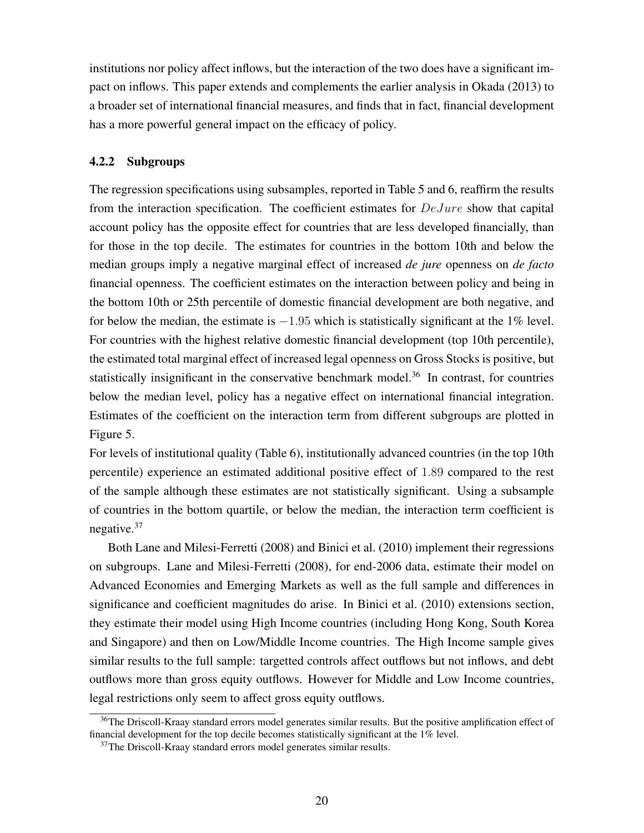institutions nor policy affect inflows, but the interaction of the two does have a significant impact on inflows. This paper extends and complements the earlier analysis in Okada (2013) to a broader set of international financial measures, and finds that in fact, financial development has a more powerful general impact on the efficacy of policy.

#### 4.2.2 Subgroups

The regression specifications using subsamples, reported in Table 5 and 6, reaffirm the results from the interaction specification. The coefficient estimates for DeJure show that capital account policy has the opposite effect for countries that are less developed financially, than for those in the top decile. The estimates for countries in the bottom 10th and below the median groups imply a negative marginal effect of increased *de jure* openness on *de facto* financial openness. The coefficient estimates on the interaction between policy and being in the bottom 10th or 25th percentile of domestic financial development are both negative, and for below the median, the estimate is  $-1.95$  which is statistically significant at the 1% level. For countries with the highest relative domestic financial development (top 10th percentile), the estimated total marginal effect of increased legal openness on Gross Stocks is positive, but statistically insignificant in the conservative benchmark model.<sup>36</sup> In contrast, for countries below the median level, policy has a negative effect on international financial integration. Estimates of the coefficient on the interaction term from different subgroups are plotted in Figure 5.

For levels of institutional quality (Table 6), institutionally advanced countries (in the top 10th percentile) experience an estimated additional positive effect of 1.89 compared to the rest of the sample although these estimates are not statistically significant. Using a subsample of countries in the bottom quartile, or below the median, the interaction term coefficient is negative.<sup>37</sup>

Both Lane and Milesi-Ferretti (2008) and Binici et al. (2010) implement their regressions on subgroups. Lane and Milesi-Ferretti (2008), for end-2006 data, estimate their model on Advanced Economies and Emerging Markets as well as the full sample and differences in significance and coefficient magnitudes do arise. In Binici et al. (2010) extensions section, they estimate their model using High Income countries (including Hong Kong, South Korea and Singapore) and then on Low/Middle Income countries. The High Income sample gives similar results to the full sample: targetted controls affect outflows but not inflows, and debt outflows more than gross equity outflows. However for Middle and Low Income countries, legal restrictions only seem to affect gross equity outflows.

<sup>&</sup>lt;sup>36</sup>The Driscoll-Kraay standard errors model generates similar results. But the positive amplification effect of financial development for the top decile becomes statistically significant at the 1% level.

 $37$ The Driscoll-Kraay standard errors model generates similar results.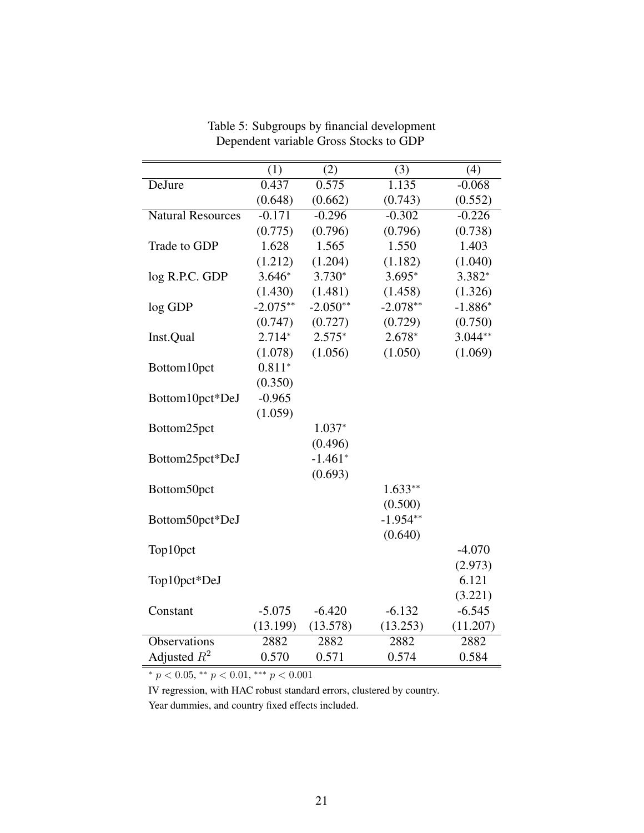|                          | (1)        | (2)        | (3)        | (4)       |
|--------------------------|------------|------------|------------|-----------|
| DeJure                   | 0.437      | 0.575      | 1.135      | $-0.068$  |
|                          | (0.648)    | (0.662)    | (0.743)    | (0.552)   |
| <b>Natural Resources</b> | $-0.171$   | $-0.296$   | $-0.302$   | $-0.226$  |
|                          | (0.775)    | (0.796)    | (0.796)    | (0.738)   |
| Trade to GDP             | 1.628      | 1.565      | 1.550      | 1.403     |
|                          | (1.212)    | (1.204)    | (1.182)    | (1.040)   |
| log R.P.C. GDP           | $3.646*$   | $3.730*$   | $3.695*$   | 3.382*    |
|                          | (1.430)    | (1.481)    | (1.458)    | (1.326)   |
| log GDP                  | $-2.075**$ | $-2.050**$ | $-2.078**$ | $-1.886*$ |
|                          | (0.747)    | (0.727)    | (0.729)    | (0.750)   |
| Inst.Qual                | $2.714*$   | $2.575*$   | $2.678*$   | $3.044**$ |
|                          | (1.078)    | (1.056)    | (1.050)    | (1.069)   |
| Bottom10pct              | $0.811*$   |            |            |           |
|                          | (0.350)    |            |            |           |
| Bottom10pct*DeJ          | $-0.965$   |            |            |           |
|                          | (1.059)    |            |            |           |
| Bottom25pct              |            | $1.037*$   |            |           |
|                          |            | (0.496)    |            |           |
| Bottom25pct*DeJ          |            | $-1.461*$  |            |           |
|                          |            | (0.693)    |            |           |
| Bottom50pct              |            |            | $1.633**$  |           |
|                          |            |            | (0.500)    |           |
| Bottom50pct*DeJ          |            |            | $-1.954**$ |           |
|                          |            |            | (0.640)    |           |
| Top10pct                 |            |            |            | $-4.070$  |
|                          |            |            |            | (2.973)   |
| Top10pct*DeJ             |            |            |            | 6.121     |
|                          |            |            |            | (3.221)   |
| Constant                 | $-5.075$   | $-6.420$   | $-6.132$   | $-6.545$  |
|                          | (13.199)   | (13.578)   | (13.253)   | (11.207)  |
| Observations             | 2882       | 2882       | 2882       | 2882      |
| Adjusted $R^2$           | 0.570      | 0.571      | 0.574      | 0.584     |

Table 5: Subgroups by financial development Dependent variable Gross Stocks to GDP

\*  $p < 0.05$ , \*\*  $p < 0.01$ , \*\*\*  $p < 0.001$ 

IV regression, with HAC robust standard errors, clustered by country. Year dummies, and country fixed effects included.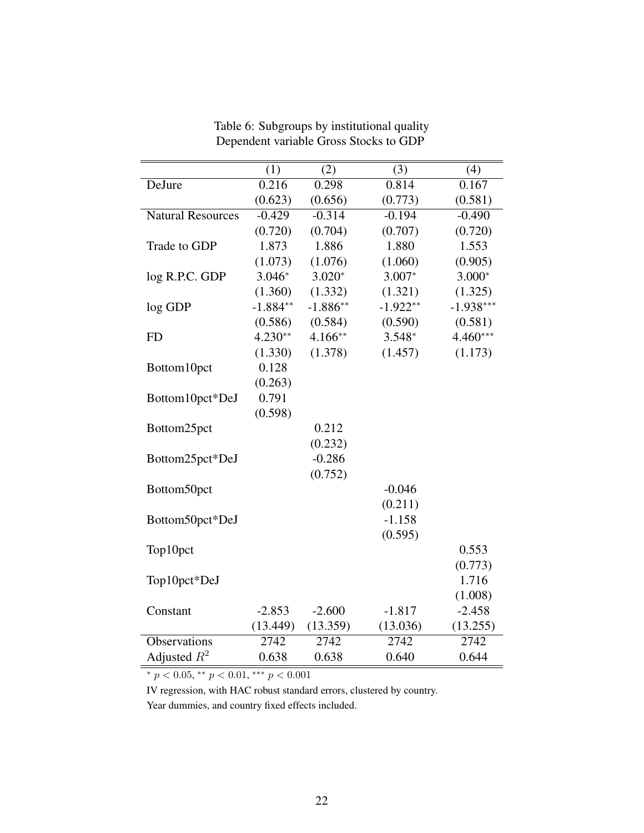|                          | (1)        | (2)        | (3)        | (4)         |
|--------------------------|------------|------------|------------|-------------|
| DeJure                   | 0.216      | 0.298      | 0.814      | 0.167       |
|                          | (0.623)    | (0.656)    | (0.773)    | (0.581)     |
| <b>Natural Resources</b> | $-0.429$   | $-0.314$   | $-0.194$   | $-0.490$    |
|                          | (0.720)    | (0.704)    | (0.707)    | (0.720)     |
| Trade to GDP             | 1.873      | 1.886      | 1.880      | 1.553       |
|                          | (1.073)    | (1.076)    | (1.060)    | (0.905)     |
| log R.P.C. GDP           | $3.046*$   | $3.020*$   | $3.007*$   | $3.000*$    |
|                          | (1.360)    | (1.332)    | (1.321)    | (1.325)     |
| log GDP                  | $-1.884**$ | $-1.886**$ | $-1.922**$ | $-1.938***$ |
|                          | (0.586)    | (0.584)    | (0.590)    | (0.581)     |
| <b>FD</b>                | $4.230**$  | $4.166**$  | $3.548*$   | $4.460***$  |
|                          | (1.330)    | (1.378)    | (1.457)    | (1.173)     |
| Bottom10pct              | 0.128      |            |            |             |
|                          | (0.263)    |            |            |             |
| Bottom10pct*DeJ          | 0.791      |            |            |             |
|                          | (0.598)    |            |            |             |
| Bottom25pct              |            | 0.212      |            |             |
|                          |            | (0.232)    |            |             |
| Bottom25pct*DeJ          |            | $-0.286$   |            |             |
|                          |            | (0.752)    |            |             |
| Bottom50pct              |            |            | $-0.046$   |             |
|                          |            |            | (0.211)    |             |
| Bottom50pct*DeJ          |            |            | $-1.158$   |             |
|                          |            |            | (0.595)    |             |
| Top10pct                 |            |            |            | 0.553       |
|                          |            |            |            | (0.773)     |
| Top10pct*DeJ             |            |            |            | 1.716       |
|                          |            |            |            | (1.008)     |
| Constant                 | $-2.853$   | $-2.600$   | $-1.817$   | $-2.458$    |
|                          | (13.449)   | (13.359)   | (13.036)   | (13.255)    |
| <b>Observations</b>      | 2742       | 2742       | 2742       | 2742        |
| Adjusted $R^2$           | 0.638      | 0.638      | 0.640      | 0.644       |

Table 6: Subgroups by institutional quality Dependent variable Gross Stocks to GDP

\*  $p < 0.05$ , \*\*  $p < 0.01$ , \*\*\*  $p < 0.001$ 

IV regression, with HAC robust standard errors, clustered by country.

Year dummies, and country fixed effects included.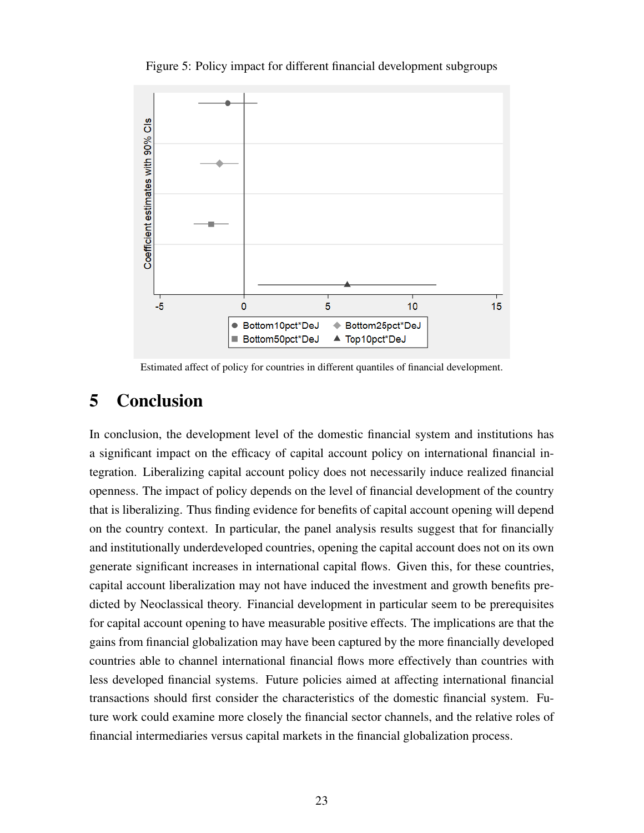

Figure 5: Policy impact for different financial development subgroups

Estimated affect of policy for countries in different quantiles of financial development.

# 5 Conclusion

In conclusion, the development level of the domestic financial system and institutions has a significant impact on the efficacy of capital account policy on international financial integration. Liberalizing capital account policy does not necessarily induce realized financial openness. The impact of policy depends on the level of financial development of the country that is liberalizing. Thus finding evidence for benefits of capital account opening will depend on the country context. In particular, the panel analysis results suggest that for financially and institutionally underdeveloped countries, opening the capital account does not on its own generate significant increases in international capital flows. Given this, for these countries, capital account liberalization may not have induced the investment and growth benefits predicted by Neoclassical theory. Financial development in particular seem to be prerequisites for capital account opening to have measurable positive effects. The implications are that the gains from financial globalization may have been captured by the more financially developed countries able to channel international financial flows more effectively than countries with less developed financial systems. Future policies aimed at affecting international financial transactions should first consider the characteristics of the domestic financial system. Future work could examine more closely the financial sector channels, and the relative roles of financial intermediaries versus capital markets in the financial globalization process.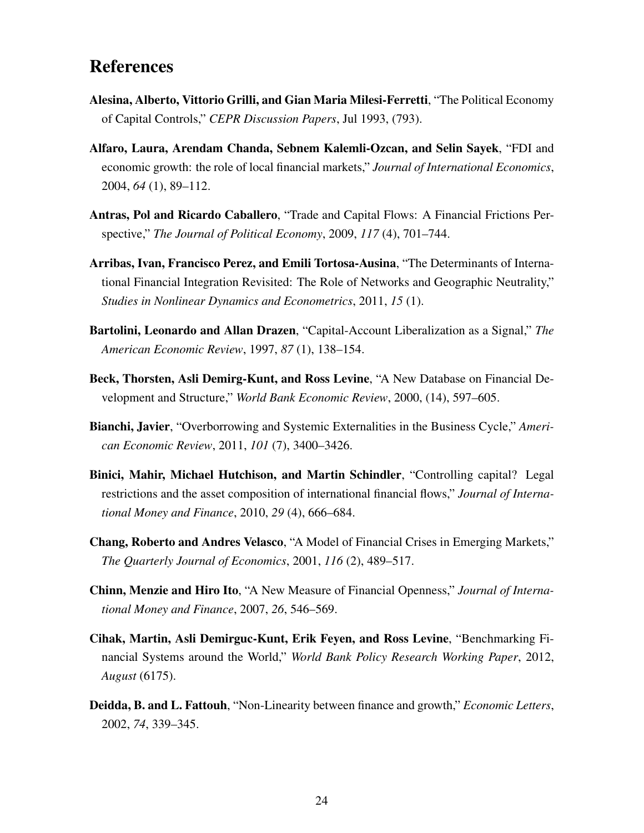# References

- Alesina, Alberto, Vittorio Grilli, and Gian Maria Milesi-Ferretti, "The Political Economy of Capital Controls," *CEPR Discussion Papers*, Jul 1993, (793).
- Alfaro, Laura, Arendam Chanda, Sebnem Kalemli-Ozcan, and Selin Sayek, "FDI and economic growth: the role of local financial markets," *Journal of International Economics*, 2004, *64* (1), 89–112.
- Antras, Pol and Ricardo Caballero, "Trade and Capital Flows: A Financial Frictions Perspective," *The Journal of Political Economy*, 2009, *117* (4), 701–744.
- Arribas, Ivan, Francisco Perez, and Emili Tortosa-Ausina, "The Determinants of International Financial Integration Revisited: The Role of Networks and Geographic Neutrality," *Studies in Nonlinear Dynamics and Econometrics*, 2011, *15* (1).
- Bartolini, Leonardo and Allan Drazen, "Capital-Account Liberalization as a Signal," *The American Economic Review*, 1997, *87* (1), 138–154.
- Beck, Thorsten, Asli Demirg-Kunt, and Ross Levine, "A New Database on Financial Development and Structure," *World Bank Economic Review*, 2000, (14), 597–605.
- Bianchi, Javier, "Overborrowing and Systemic Externalities in the Business Cycle," *American Economic Review*, 2011, *101* (7), 3400–3426.
- Binici, Mahir, Michael Hutchison, and Martin Schindler, "Controlling capital? Legal restrictions and the asset composition of international financial flows," *Journal of International Money and Finance*, 2010, *29* (4), 666–684.
- Chang, Roberto and Andres Velasco, "A Model of Financial Crises in Emerging Markets," *The Quarterly Journal of Economics*, 2001, *116* (2), 489–517.
- Chinn, Menzie and Hiro Ito, "A New Measure of Financial Openness," *Journal of International Money and Finance*, 2007, *26*, 546–569.
- Cihak, Martin, Asli Demirguc-Kunt, Erik Feyen, and Ross Levine, "Benchmarking Financial Systems around the World," *World Bank Policy Research Working Paper*, 2012, *August* (6175).
- Deidda, B. and L. Fattouh, "Non-Linearity between finance and growth," *Economic Letters*, 2002, *74*, 339–345.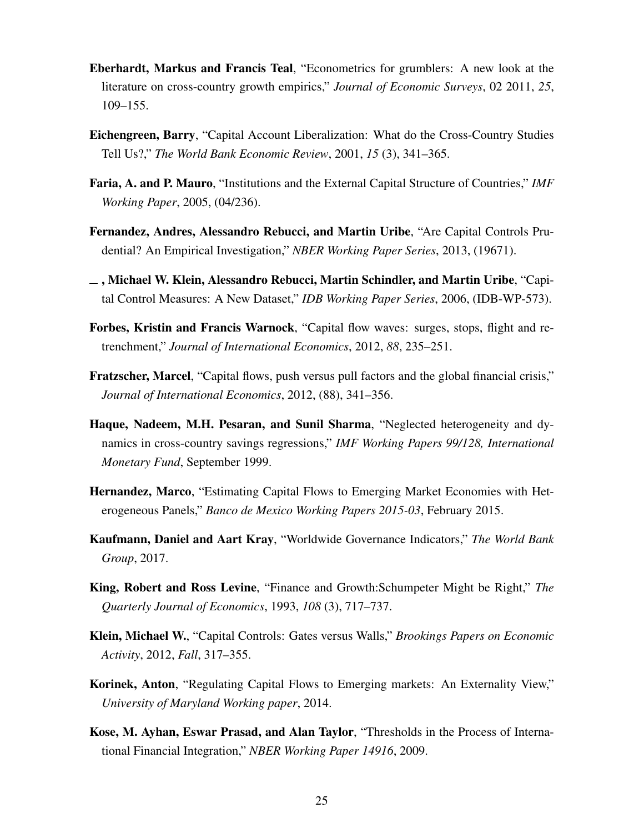- Eberhardt, Markus and Francis Teal, "Econometrics for grumblers: A new look at the literature on cross-country growth empirics," *Journal of Economic Surveys*, 02 2011, *25*, 109–155.
- Eichengreen, Barry, "Capital Account Liberalization: What do the Cross-Country Studies Tell Us?," *The World Bank Economic Review*, 2001, *15* (3), 341–365.
- Faria, A. and P. Mauro, "Institutions and the External Capital Structure of Countries," *IMF Working Paper*, 2005, (04/236).
- Fernandez, Andres, Alessandro Rebucci, and Martin Uribe, "Are Capital Controls Prudential? An Empirical Investigation," *NBER Working Paper Series*, 2013, (19671).
- , Michael W. Klein, Alessandro Rebucci, Martin Schindler, and Martin Uribe, "Capital Control Measures: A New Dataset," *IDB Working Paper Series*, 2006, (IDB-WP-573).
- Forbes, Kristin and Francis Warnock, "Capital flow waves: surges, stops, flight and retrenchment," *Journal of International Economics*, 2012, *88*, 235–251.
- Fratzscher, Marcel, "Capital flows, push versus pull factors and the global financial crisis," *Journal of International Economics*, 2012, (88), 341–356.
- Haque, Nadeem, M.H. Pesaran, and Sunil Sharma, "Neglected heterogeneity and dynamics in cross-country savings regressions," *IMF Working Papers 99/128, International Monetary Fund*, September 1999.
- Hernandez, Marco, "Estimating Capital Flows to Emerging Market Economies with Heterogeneous Panels," *Banco de Mexico Working Papers 2015-03*, February 2015.
- Kaufmann, Daniel and Aart Kray, "Worldwide Governance Indicators," *The World Bank Group*, 2017.
- King, Robert and Ross Levine, "Finance and Growth:Schumpeter Might be Right," *The Quarterly Journal of Economics*, 1993, *108* (3), 717–737.
- Klein, Michael W., "Capital Controls: Gates versus Walls," *Brookings Papers on Economic Activity*, 2012, *Fall*, 317–355.
- Korinek, Anton, "Regulating Capital Flows to Emerging markets: An Externality View," *University of Maryland Working paper*, 2014.
- Kose, M. Ayhan, Eswar Prasad, and Alan Taylor, "Thresholds in the Process of International Financial Integration," *NBER Working Paper 14916*, 2009.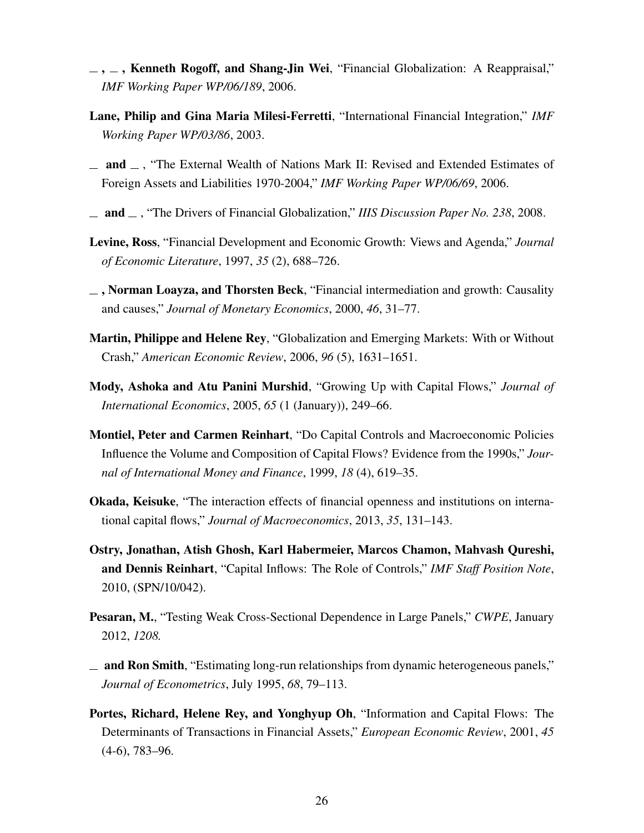- $\ldots$ , Kenneth Rogoff, and Shang-Jin Wei, "Financial Globalization: A Reappraisal," *IMF Working Paper WP/06/189*, 2006.
- Lane, Philip and Gina Maria Milesi-Ferretti, "International Financial Integration," *IMF Working Paper WP/03/86*, 2003.
- $\Box$  and  $\Box$ , "The External Wealth of Nations Mark II: Revised and Extended Estimates of Foreign Assets and Liabilities 1970-2004," *IMF Working Paper WP/06/69*, 2006.
- and , "The Drivers of Financial Globalization," *IIIS Discussion Paper No. 238*, 2008.
- Levine, Ross, "Financial Development and Economic Growth: Views and Agenda," *Journal of Economic Literature*, 1997, *35* (2), 688–726.
- $\Box$ , Norman Loayza, and Thorsten Beck, "Financial intermediation and growth: Causality and causes," *Journal of Monetary Economics*, 2000, *46*, 31–77.
- Martin, Philippe and Helene Rey, "Globalization and Emerging Markets: With or Without Crash," *American Economic Review*, 2006, *96* (5), 1631–1651.
- Mody, Ashoka and Atu Panini Murshid, "Growing Up with Capital Flows," *Journal of International Economics*, 2005, *65* (1 (January)), 249–66.
- Montiel, Peter and Carmen Reinhart, "Do Capital Controls and Macroeconomic Policies Influence the Volume and Composition of Capital Flows? Evidence from the 1990s," *Journal of International Money and Finance*, 1999, *18* (4), 619–35.
- Okada, Keisuke, "The interaction effects of financial openness and institutions on international capital flows," *Journal of Macroeconomics*, 2013, *35*, 131–143.
- Ostry, Jonathan, Atish Ghosh, Karl Habermeier, Marcos Chamon, Mahvash Qureshi, and Dennis Reinhart, "Capital Inflows: The Role of Controls," *IMF Staff Position Note*, 2010, (SPN/10/042).
- Pesaran, M., "Testing Weak Cross-Sectional Dependence in Large Panels," *CWPE*, January 2012, *1208.*
- $\equiv$  and Ron Smith, "Estimating long-run relationships from dynamic heterogeneous panels," *Journal of Econometrics*, July 1995, *68*, 79–113.
- Portes, Richard, Helene Rey, and Yonghyup Oh, "Information and Capital Flows: The Determinants of Transactions in Financial Assets," *European Economic Review*, 2001, *45* (4-6), 783–96.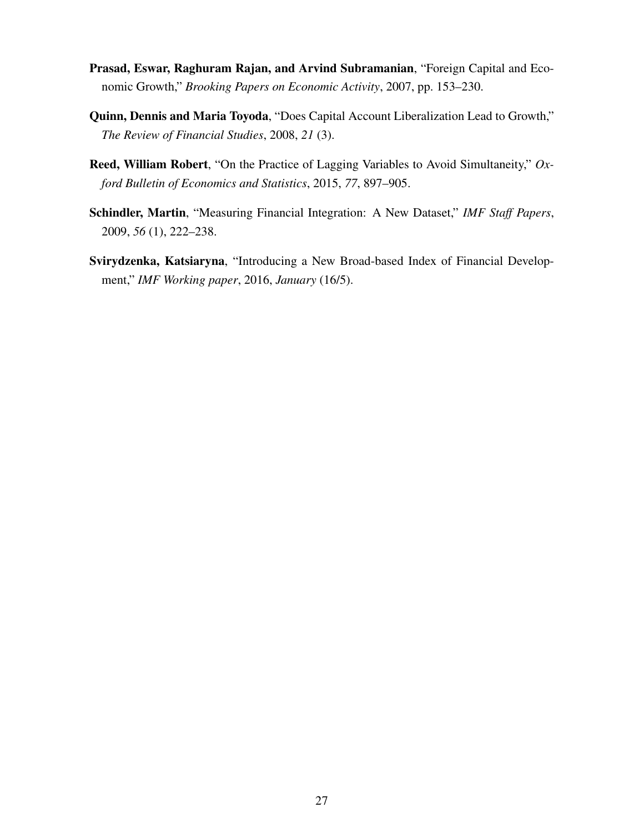- Prasad, Eswar, Raghuram Rajan, and Arvind Subramanian, "Foreign Capital and Economic Growth," *Brooking Papers on Economic Activity*, 2007, pp. 153–230.
- Quinn, Dennis and Maria Toyoda, "Does Capital Account Liberalization Lead to Growth," *The Review of Financial Studies*, 2008, *21* (3).
- Reed, William Robert, "On the Practice of Lagging Variables to Avoid Simultaneity," *Oxford Bulletin of Economics and Statistics*, 2015, *77*, 897–905.
- Schindler, Martin, "Measuring Financial Integration: A New Dataset," *IMF Staff Papers*, 2009, *56* (1), 222–238.
- Svirydzenka, Katsiaryna, "Introducing a New Broad-based Index of Financial Development," *IMF Working paper*, 2016, *January* (16/5).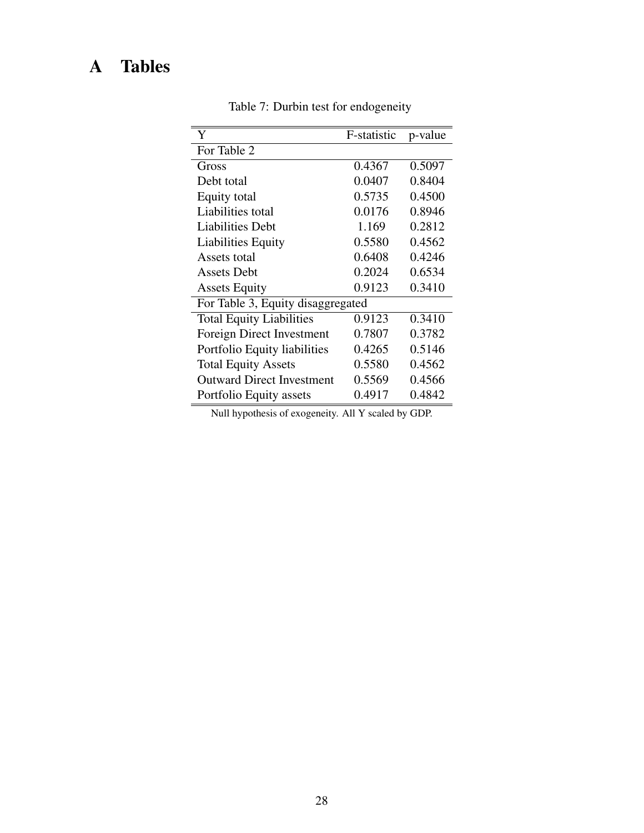# A Tables

| Y                                 | F-statistic | p-value |
|-----------------------------------|-------------|---------|
| For Table 2                       |             |         |
| Gross                             | 0.4367      | 0.5097  |
| Debt total                        | 0.0407      | 0.8404  |
| Equity total                      | 0.5735      | 0.4500  |
| Liabilities total                 | 0.0176      | 0.8946  |
| <b>Liabilities Debt</b>           | 1.169       | 0.2812  |
| <b>Liabilities Equity</b>         | 0.5580      | 0.4562  |
| Assets total                      | 0.6408      | 0.4246  |
| Assets Debt                       | 0.2024      | 0.6534  |
| <b>Assets Equity</b>              | 0.9123      | 0.3410  |
| For Table 3, Equity disaggregated |             |         |
| <b>Total Equity Liabilities</b>   | 0.9123      | 0.3410  |
| Foreign Direct Investment         | 0.7807      | 0.3782  |
| Portfolio Equity liabilities      | 0.4265      | 0.5146  |
| <b>Total Equity Assets</b>        | 0.5580      | 0.4562  |
| <b>Outward Direct Investment</b>  | 0.5569      | 0.4566  |
| Portfolio Equity assets           | 0.4917      | 0.4842  |

Table 7: Durbin test for endogeneity

Null hypothesis of exogeneity. All Y scaled by GDP.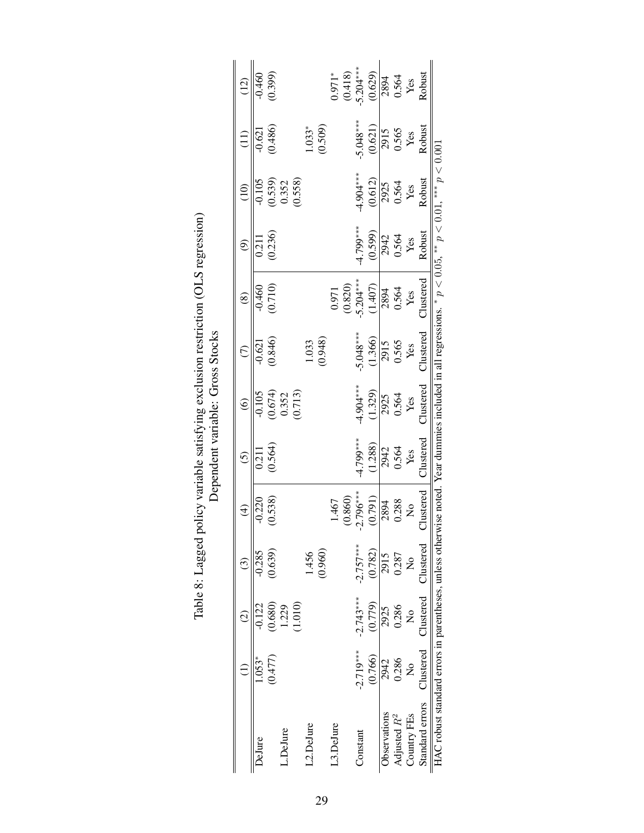|                                                             |                           | $\widehat{\circ}$    | ල                         | $\oplus$        | $\widehat{c}$                                                                                      | $\widehat{\circ}$  | $\widehat{\in}$ | $\circledast$    | ම        | $\widehat{\Xi}$      | Ξ           | $\widetilde{\Xi}$ |
|-------------------------------------------------------------|---------------------------|----------------------|---------------------------|-----------------|----------------------------------------------------------------------------------------------------|--------------------|-----------------|------------------|----------|----------------------|-------------|-------------------|
| DeJure                                                      | $1.053*$                  | $-0.122$             | $-0.285$                  | $-0.220$        | 0.211                                                                                              | $-0.105$           | $-0.621$        | $-0.460$         | 0.211    | $-0.105$             | $-0.621$    | $-0.460$          |
|                                                             | (0.477)                   | (0.680)              | (0.639)                   | (0.538)         | 0.564)                                                                                             |                    | (0.846)         | (0.710)          | (0.236)  |                      | (0.486)     | (0.399)           |
| L.DeJure                                                    |                           | 1.229                |                           |                 |                                                                                                    | $(0.674)$<br>0.352 |                 |                  |          | $(0.539)$<br>$0.352$ |             |                   |
|                                                             |                           | 1.010)               |                           |                 |                                                                                                    | (0.713)            |                 |                  |          | (0.558)              |             |                   |
| .2.DeJure                                                   |                           |                      | 1.456                     |                 |                                                                                                    |                    | 1.033           |                  |          |                      | $1.033*$    |                   |
|                                                             |                           |                      | (0.960)                   |                 |                                                                                                    |                    | (0.948)         |                  |          |                      | (0.509)     |                   |
| 3.DeJure                                                    |                           |                      |                           | 1.467           |                                                                                                    |                    |                 | 0.971            |          |                      |             | $0.971*$          |
|                                                             |                           |                      |                           | (0.860)         |                                                                                                    |                    |                 | (0.820)          |          |                      |             | (0.418)           |
| Constant                                                    | $-2.719***$               | $-2.743***$          | $-2.757***$               | $-2.796***$     | 4.799***                                                                                           | $-4.904***$        | 5.048***        | $-5.204***$      | 4.799*** | $4.904***$           | $-5.048***$ | $-5.204***$       |
|                                                             | (0.766)                   | (0.779)              | (0.782)                   | (0.791)         | (1.288)                                                                                            | (1.329)            | (1.366)         | (1.407)          | (0.599)  | (0.612)              | (0.621)     | (0.629)           |
| <b>D</b> servations                                         | 2942                      | 2925                 | 2915                      | 2894            | 2942                                                                                               | 2925               | 2915            | 2894             | 2942     | 2925                 | 2915        | 2894              |
| Adjusted $R^2$                                              | 0.286                     | 0.286                | 0.287                     | 0.288           | 0.564                                                                                              | 0.564              | 0.565           | 0.564            | 0.564    | 0.564                | 0.565       | 0.564             |
| Country FEs                                                 | $\mathsf{S}^{\mathsf{O}}$ | $\mathsf{z}^{\circ}$ | $\mathsf{S}^{\mathsf{O}}$ | $\overline{a}$  | Yes                                                                                                | Yes                | Yes             | Yes              | Yes      | Yes                  | Yes         | Yes               |
| Standard errors                                             | Clustered                 | $\Box$ ustered       | Clustered                 | <b>Justered</b> | Clustered                                                                                          | <b>Justered</b>    | <b>Hustered</b> | <b>Clustered</b> | Robust   | Robust               | Robust      | <b>Robust</b>     |
| HAC robust standard errors in parentheses, unless otherwise |                           |                      |                           |                 | ise noted. Year dummies included in all regressions. * $p < 0.05$ , ** $p < 0.01$ , ** $p < 0.001$ |                    |                 |                  |          |                      |             |                   |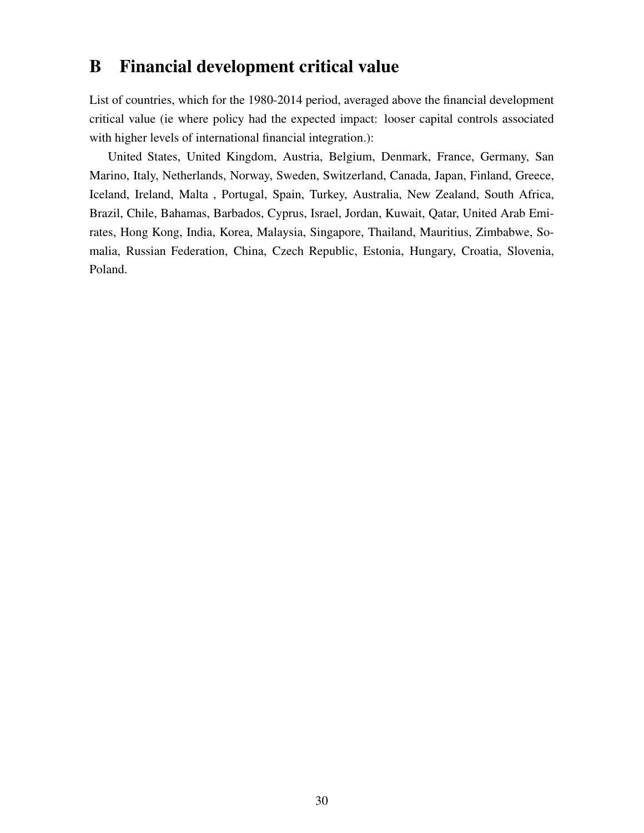## B Financial development critical value

List of countries, which for the 1980-2014 period, averaged above the financial development critical value (ie where policy had the expected impact: looser capital controls associated with higher levels of international financial integration.):

United States, United Kingdom, Austria, Belgium, Denmark, France, Germany, San Marino, Italy, Netherlands, Norway, Sweden, Switzerland, Canada, Japan, Finland, Greece, Iceland, Ireland, Malta , Portugal, Spain, Turkey, Australia, New Zealand, South Africa, Brazil, Chile, Bahamas, Barbados, Cyprus, Israel, Jordan, Kuwait, Qatar, United Arab Emirates, Hong Kong, India, Korea, Malaysia, Singapore, Thailand, Mauritius, Zimbabwe, Somalia, Russian Federation, China, Czech Republic, Estonia, Hungary, Croatia, Slovenia, Poland.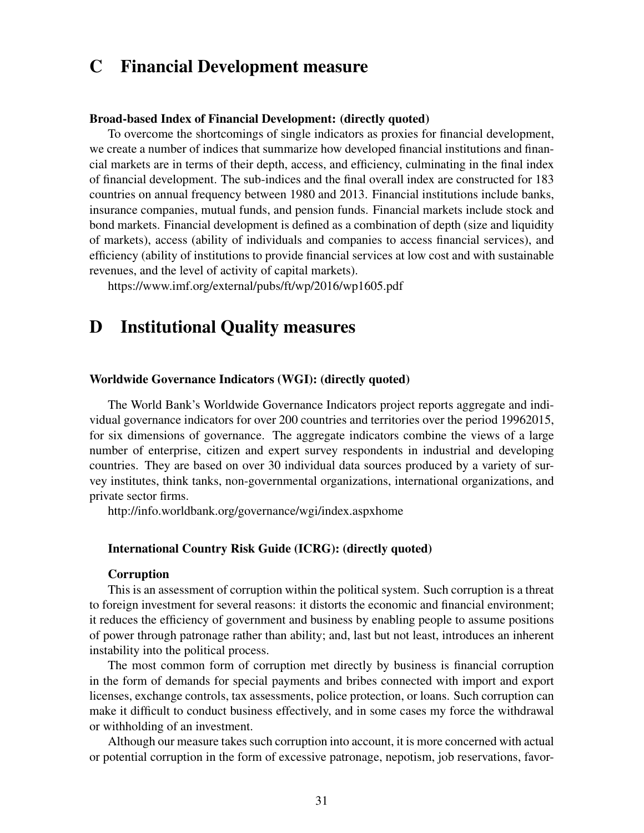# C Financial Development measure

#### Broad-based Index of Financial Development: (directly quoted)

To overcome the shortcomings of single indicators as proxies for financial development, we create a number of indices that summarize how developed financial institutions and financial markets are in terms of their depth, access, and efficiency, culminating in the final index of financial development. The sub-indices and the final overall index are constructed for 183 countries on annual frequency between 1980 and 2013. Financial institutions include banks, insurance companies, mutual funds, and pension funds. Financial markets include stock and bond markets. Financial development is defined as a combination of depth (size and liquidity of markets), access (ability of individuals and companies to access financial services), and efficiency (ability of institutions to provide financial services at low cost and with sustainable revenues, and the level of activity of capital markets).

https://www.imf.org/external/pubs/ft/wp/2016/wp1605.pdf

# D Institutional Quality measures

#### Worldwide Governance Indicators (WGI): (directly quoted)

The World Bank's Worldwide Governance Indicators project reports aggregate and individual governance indicators for over 200 countries and territories over the period 19962015, for six dimensions of governance. The aggregate indicators combine the views of a large number of enterprise, citizen and expert survey respondents in industrial and developing countries. They are based on over 30 individual data sources produced by a variety of survey institutes, think tanks, non-governmental organizations, international organizations, and private sector firms.

http://info.worldbank.org/governance/wgi/index.aspxhome

#### International Country Risk Guide (ICRG): (directly quoted)

#### Corruption

This is an assessment of corruption within the political system. Such corruption is a threat to foreign investment for several reasons: it distorts the economic and financial environment; it reduces the efficiency of government and business by enabling people to assume positions of power through patronage rather than ability; and, last but not least, introduces an inherent instability into the political process.

The most common form of corruption met directly by business is financial corruption in the form of demands for special payments and bribes connected with import and export licenses, exchange controls, tax assessments, police protection, or loans. Such corruption can make it difficult to conduct business effectively, and in some cases my force the withdrawal or withholding of an investment.

Although our measure takes such corruption into account, it is more concerned with actual or potential corruption in the form of excessive patronage, nepotism, job reservations, favor